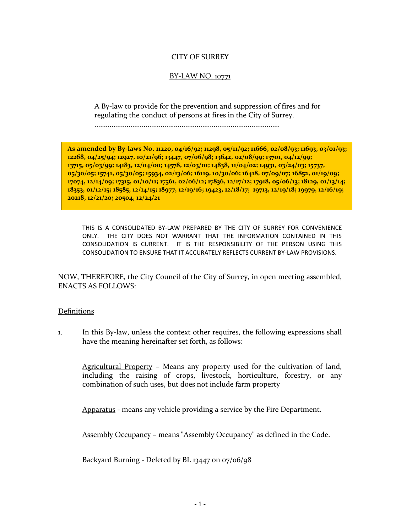### CITY OF SURREY

### BY-LAW NO. 10771

A By-law to provide for the prevention and suppression of fires and for regulating the conduct of persons at fires in the City of Surrey.

..................................................................................................

**As amended by By-laws No. 11220, 04/16/92; 11298, 05/11/92; 11666, 02/08/93; 11693, 03/01/93; 12268, 04/25/94; 12927, 10/21/96; 13447, 07/06/98; 13642, 02/08/99; 13701, 04/12/99; 13715, 05/03/99; 14183, 12/04/00; 14578, 12/03/01; 14838, 11/04/02; 14931, 03/24/03; 15737, 05/30/05; 15741, 05/30/05; 15934, 02/13/06; 16119, 10/30/06; 16418, 07/09/07; 16852, 01/19/09; 17074, 12/14/09; 17315, 01/10/11; 17561, 02/06/12; 17836, 12/17/12; 17918, 05/06/13; 18129, 01/13/14; 18353, 01/12/15; 18585, 12/14/15; 18977, 12/19/16; 19423, 12/18/17; 19713, 12/19/18; 19979, 12/16/19; 20218, 12/21/20; 20504, 12/24/21**

THIS IS A CONSOLIDATED BY-LAW PREPARED BY THE CITY OF SURREY FOR CONVENIENCE ONLY. THE CITY DOES NOT WARRANT THAT THE INFORMATION CONTAINED IN THIS CONSOLIDATION IS CURRENT. IT IS THE RESPONSIBILITY OF THE PERSON USING THIS CONSOLIDATION TO ENSURE THAT IT ACCURATELY REFLECTS CURRENT BY-LAW PROVISIONS.

NOW, THEREFORE, the City Council of the City of Surrey, in open meeting assembled, ENACTS AS FOLLOWS:

### Definitions

1. In this By-law, unless the context other requires, the following expressions shall have the meaning hereinafter set forth, as follows:

Agricultural Property – Means any property used for the cultivation of land, including the raising of crops, livestock, horticulture, forestry, or any combination of such uses, but does not include farm property

Apparatus - means any vehicle providing a service by the Fire Department.

Assembly Occupancy – means "Assembly Occupancy" as defined in the Code.

Backyard Burning - Deleted by BL 13447 on 07/06/98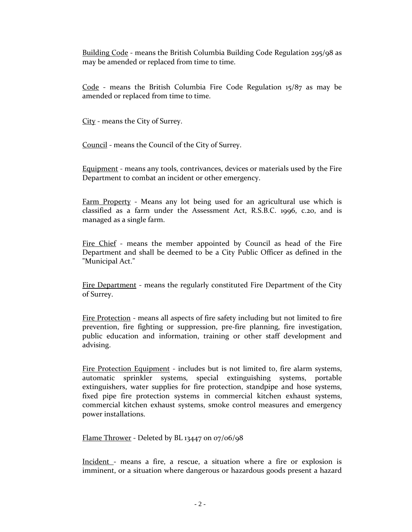Building Code - means the British Columbia Building Code Regulation 295/98 as may be amended or replaced from time to time.

Code - means the British Columbia Fire Code Regulation  $15/87$  as may be amended or replaced from time to time.

City - means the City of Surrey.

Council - means the Council of the City of Surrey.

Equipment - means any tools, contrivances, devices or materials used by the Fire Department to combat an incident or other emergency.

Farm Property - Means any lot being used for an agricultural use which is classified as a farm under the Assessment Act, R.S.B.C. 1996, c.20, and is managed as a single farm.

Fire Chief - means the member appointed by Council as head of the Fire Department and shall be deemed to be a City Public Officer as defined in the "Municipal Act."

Fire Department - means the regularly constituted Fire Department of the City of Surrey.

Fire Protection - means all aspects of fire safety including but not limited to fire prevention, fire fighting or suppression, pre-fire planning, fire investigation, public education and information, training or other staff development and advising.

Fire Protection Equipment - includes but is not limited to, fire alarm systems, automatic sprinkler systems, special extinguishing systems, portable extinguishers, water supplies for fire protection, standpipe and hose systems, fixed pipe fire protection systems in commercial kitchen exhaust systems, commercial kitchen exhaust systems, smoke control measures and emergency power installations.

Flame Thrower - Deleted by BL 13447 on 07/06/98

Incident - means a fire, a rescue, a situation where a fire or explosion is imminent, or a situation where dangerous or hazardous goods present a hazard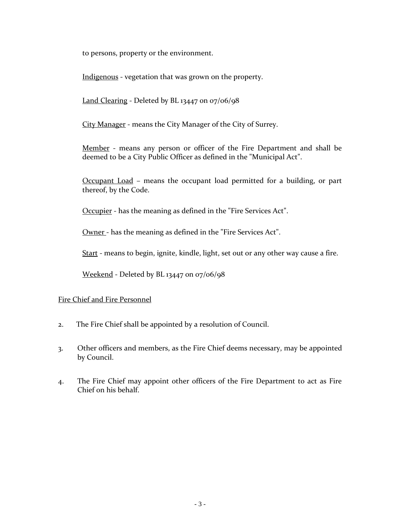to persons, property or the environment.

Indigenous - vegetation that was grown on the property.

Land Clearing - Deleted by BL 13447 on 07/06/98

City Manager - means the City Manager of the City of Surrey.

Member - means any person or officer of the Fire Department and shall be deemed to be a City Public Officer as defined in the "Municipal Act".

Occupant Load – means the occupant load permitted for a building, or part thereof, by the Code.

Occupier - has the meaning as defined in the "Fire Services Act".

Owner - has the meaning as defined in the "Fire Services Act".

Start - means to begin, ignite, kindle, light, set out or any other way cause a fire.

Weekend - Deleted by BL 13447 on 07/06/98

### Fire Chief and Fire Personnel

- 2. The Fire Chief shall be appointed by a resolution of Council.
- 3. Other officers and members, as the Fire Chief deems necessary, may be appointed by Council.
- 4. The Fire Chief may appoint other officers of the Fire Department to act as Fire Chief on his behalf.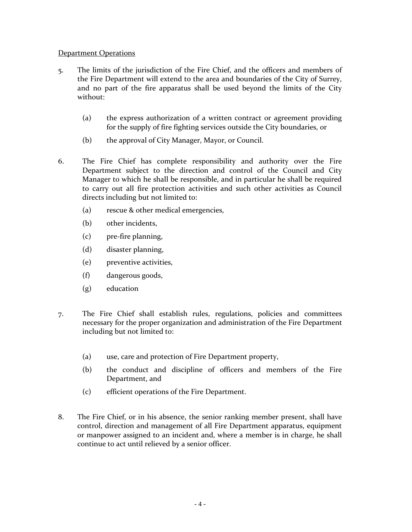#### Department Operations

- 5. The limits of the jurisdiction of the Fire Chief, and the officers and members of the Fire Department will extend to the area and boundaries of the City of Surrey, and no part of the fire apparatus shall be used beyond the limits of the City without:
	- (a) the express authorization of a written contract or agreement providing for the supply of fire fighting services outside the City boundaries, or
	- (b) the approval of City Manager, Mayor, or Council.
- 6. The Fire Chief has complete responsibility and authority over the Fire Department subject to the direction and control of the Council and City Manager to which he shall be responsible, and in particular he shall be required to carry out all fire protection activities and such other activities as Council directs including but not limited to:
	- (a) rescue & other medical emergencies,
	- (b) other incidents,
	- (c) pre-fire planning,
	- (d) disaster planning,
	- (e) preventive activities,
	- (f) dangerous goods,
	- (g) education
- 7. The Fire Chief shall establish rules, regulations, policies and committees necessary for the proper organization and administration of the Fire Department including but not limited to:
	- (a) use, care and protection of Fire Department property,
	- (b) the conduct and discipline of officers and members of the Fire Department, and
	- (c) efficient operations of the Fire Department.
- 8. The Fire Chief, or in his absence, the senior ranking member present, shall have control, direction and management of all Fire Department apparatus, equipment or manpower assigned to an incident and, where a member is in charge, he shall continue to act until relieved by a senior officer.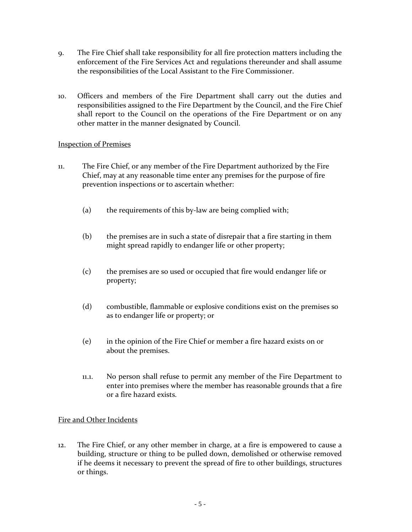- 9. The Fire Chief shall take responsibility for all fire protection matters including the enforcement of the Fire Services Act and regulations thereunder and shall assume the responsibilities of the Local Assistant to the Fire Commissioner.
- 10. Officers and members of the Fire Department shall carry out the duties and responsibilities assigned to the Fire Department by the Council, and the Fire Chief shall report to the Council on the operations of the Fire Department or on any other matter in the manner designated by Council.

### Inspection of Premises

- 11. The Fire Chief, or any member of the Fire Department authorized by the Fire Chief, may at any reasonable time enter any premises for the purpose of fire prevention inspections or to ascertain whether:
	- (a) the requirements of this by-law are being complied with;
	- (b) the premises are in such a state of disrepair that a fire starting in them might spread rapidly to endanger life or other property;
	- (c) the premises are so used or occupied that fire would endanger life or property;
	- (d) combustible, flammable or explosive conditions exist on the premises so as to endanger life or property; or
	- (e) in the opinion of the Fire Chief or member a fire hazard exists on or about the premises.
	- 11.1. No person shall refuse to permit any member of the Fire Department to enter into premises where the member has reasonable grounds that a fire or a fire hazard exists.

## Fire and Other Incidents

12. The Fire Chief, or any other member in charge, at a fire is empowered to cause a building, structure or thing to be pulled down, demolished or otherwise removed if he deems it necessary to prevent the spread of fire to other buildings, structures or things.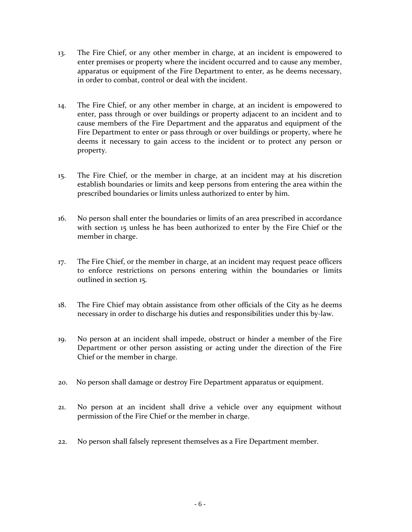- 13. The Fire Chief, or any other member in charge, at an incident is empowered to enter premises or property where the incident occurred and to cause any member, apparatus or equipment of the Fire Department to enter, as he deems necessary, in order to combat, control or deal with the incident.
- 14. The Fire Chief, or any other member in charge, at an incident is empowered to enter, pass through or over buildings or property adjacent to an incident and to cause members of the Fire Department and the apparatus and equipment of the Fire Department to enter or pass through or over buildings or property, where he deems it necessary to gain access to the incident or to protect any person or property.
- 15. The Fire Chief, or the member in charge, at an incident may at his discretion establish boundaries or limits and keep persons from entering the area within the prescribed boundaries or limits unless authorized to enter by him.
- 16. No person shall enter the boundaries or limits of an area prescribed in accordance with section 15 unless he has been authorized to enter by the Fire Chief or the member in charge.
- 17. The Fire Chief, or the member in charge, at an incident may request peace officers to enforce restrictions on persons entering within the boundaries or limits outlined in section 15.
- 18. The Fire Chief may obtain assistance from other officials of the City as he deems necessary in order to discharge his duties and responsibilities under this by-law.
- 19. No person at an incident shall impede, obstruct or hinder a member of the Fire Department or other person assisting or acting under the direction of the Fire Chief or the member in charge.
- 20. No person shall damage or destroy Fire Department apparatus or equipment.
- 21. No person at an incident shall drive a vehicle over any equipment without permission of the Fire Chief or the member in charge.
- 22. No person shall falsely represent themselves as a Fire Department member.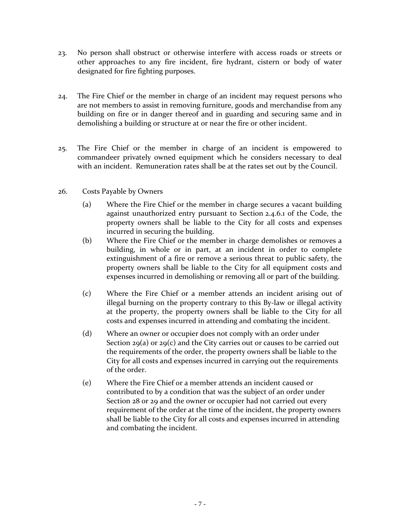- 23. No person shall obstruct or otherwise interfere with access roads or streets or other approaches to any fire incident, fire hydrant, cistern or body of water designated for fire fighting purposes.
- 24. The Fire Chief or the member in charge of an incident may request persons who are not members to assist in removing furniture, goods and merchandise from any building on fire or in danger thereof and in guarding and securing same and in demolishing a building or structure at or near the fire or other incident.
- 25. The Fire Chief or the member in charge of an incident is empowered to commandeer privately owned equipment which he considers necessary to deal with an incident. Remuneration rates shall be at the rates set out by the Council.
- 26. Costs Payable by Owners
	- (a) Where the Fire Chief or the member in charge secures a vacant building against unauthorized entry pursuant to Section 2.4.6.1 of the Code, the property owners shall be liable to the City for all costs and expenses incurred in securing the building.
	- (b) Where the Fire Chief or the member in charge demolishes or removes a building, in whole or in part, at an incident in order to complete extinguishment of a fire or remove a serious threat to public safety, the property owners shall be liable to the City for all equipment costs and expenses incurred in demolishing or removing all or part of the building.
	- (c) Where the Fire Chief or a member attends an incident arising out of illegal burning on the property contrary to this By-law or illegal activity at the property, the property owners shall be liable to the City for all costs and expenses incurred in attending and combating the incident.
	- (d) Where an owner or occupier does not comply with an order under Section 29(a) or 29(c) and the City carries out or causes to be carried out the requirements of the order, the property owners shall be liable to the City for all costs and expenses incurred in carrying out the requirements of the order.
	- (e) Where the Fire Chief or a member attends an incident caused or contributed to by a condition that was the subject of an order under Section 28 or 29 and the owner or occupier had not carried out every requirement of the order at the time of the incident, the property owners shall be liable to the City for all costs and expenses incurred in attending and combating the incident.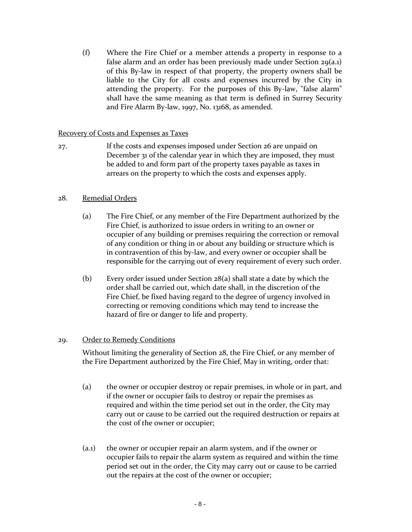(f) Where the Fire Chief or a member attends a property in response to a false alarm and an order has been previously made under Section 29(a.1) of this By-law in respect of that property, the property owners shall be liable to the City for all costs and expenses incurred by the City in attending the property. For the purposes of this By-law, "false alarm" shall have the same meaning as that term is defined in Surrey Security and Fire Alarm By-law, 1997, No. 13168, as amended.

### Recovery of Costs and Expenses as Taxes

27. If the costs and expenses imposed under Section 26 are unpaid on December 31 of the calendar year in which they are imposed, they must be added to and form part of the property taxes payable as taxes in arrears on the property to which the costs and expenses apply.

## 28. Remedial Orders

- (a) The Fire Chief, or any member of the Fire Department authorized by the Fire Chief, is authorized to issue orders in writing to an owner or occupier of any building or premises requiring the correction or removal of any condition or thing in or about any building or structure which is in contravention of this by-law, and every owner or occupier shall be responsible for the carrying out of every requirement of every such order.
- (b) Every order issued under Section 28(a) shall state a date by which the order shall be carried out, which date shall, in the discretion of the Fire Chief, be fixed having regard to the degree of urgency involved in correcting or removing conditions which may tend to increase the hazard of fire or danger to life and property.

### 29. Order to Remedy Conditions

Without limiting the generality of Section 28, the Fire Chief, or any member of the Fire Department authorized by the Fire Chief, May in writing, order that:

- (a) the owner or occupier destroy or repair premises, in whole or in part, and if the owner or occupier fails to destroy or repair the premises as required and within the time period set out in the order, the City may carry out or cause to be carried out the required destruction or repairs at the cost of the owner or occupier;
- (a.1) the owner or occupier repair an alarm system, and if the owner or occupier fails to repair the alarm system as required and within the time period set out in the order, the City may carry out or cause to be carried out the repairs at the cost of the owner or occupier;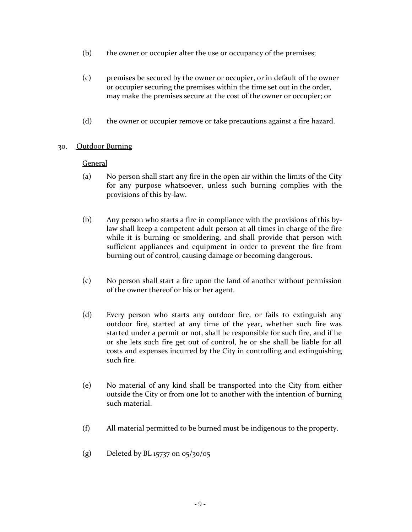- (b) the owner or occupier alter the use or occupancy of the premises;
- (c) premises be secured by the owner or occupier, or in default of the owner or occupier securing the premises within the time set out in the order, may make the premises secure at the cost of the owner or occupier; or
- (d) the owner or occupier remove or take precautions against a fire hazard.

### 30. Outdoor Burning

#### General

- (a) No person shall start any fire in the open air within the limits of the City for any purpose whatsoever, unless such burning complies with the provisions of this by-law.
- (b) Any person who starts a fire in compliance with the provisions of this bylaw shall keep a competent adult person at all times in charge of the fire while it is burning or smoldering, and shall provide that person with sufficient appliances and equipment in order to prevent the fire from burning out of control, causing damage or becoming dangerous.
- (c) No person shall start a fire upon the land of another without permission of the owner thereof or his or her agent.
- (d) Every person who starts any outdoor fire, or fails to extinguish any outdoor fire, started at any time of the year, whether such fire was started under a permit or not, shall be responsible for such fire, and if he or she lets such fire get out of control, he or she shall be liable for all costs and expenses incurred by the City in controlling and extinguishing such fire.
- (e) No material of any kind shall be transported into the City from either outside the City or from one lot to another with the intention of burning such material.
- (f) All material permitted to be burned must be indigenous to the property.
- (g) Deleted by BL 15737 on 05/30/05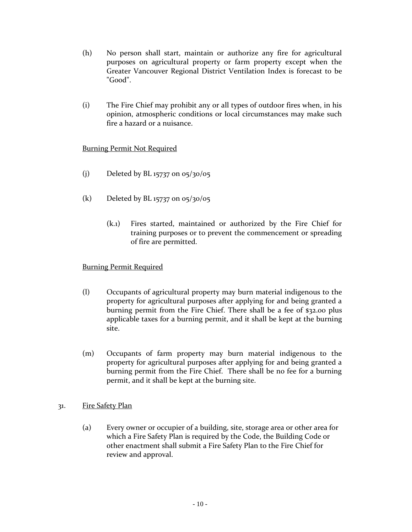- (h) No person shall start, maintain or authorize any fire for agricultural purposes on agricultural property or farm property except when the Greater Vancouver Regional District Ventilation Index is forecast to be "Good".
- (i) The Fire Chief may prohibit any or all types of outdoor fires when, in his opinion, atmospheric conditions or local circumstances may make such fire a hazard or a nuisance.

## Burning Permit Not Required

- (j) Deleted by BL 15737 on 05/30/05
- (k) Deleted by BL 15737 on 05/30/05
	- (k.1) Fires started, maintained or authorized by the Fire Chief for training purposes or to prevent the commencement or spreading of fire are permitted.

### Burning Permit Required

- (l) Occupants of agricultural property may burn material indigenous to the property for agricultural purposes after applying for and being granted a burning permit from the Fire Chief. There shall be a fee of \$32.00 plus applicable taxes for a burning permit, and it shall be kept at the burning site.
- (m) Occupants of farm property may burn material indigenous to the property for agricultural purposes after applying for and being granted a burning permit from the Fire Chief. There shall be no fee for a burning permit, and it shall be kept at the burning site.
- 31. Fire Safety Plan
	- (a) Every owner or occupier of a building, site, storage area or other area for which a Fire Safety Plan is required by the Code, the Building Code or other enactment shall submit a Fire Safety Plan to the Fire Chief for review and approval.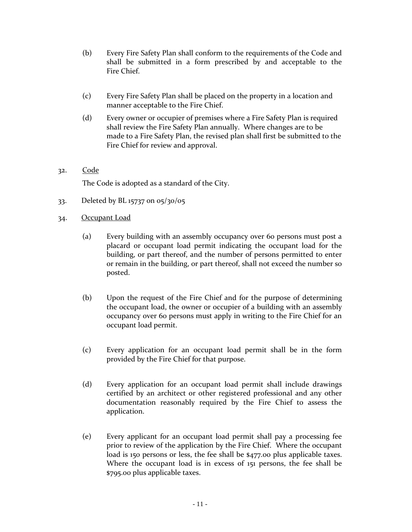- (b) Every Fire Safety Plan shall conform to the requirements of the Code and shall be submitted in a form prescribed by and acceptable to the Fire Chief.
- (c) Every Fire Safety Plan shall be placed on the property in a location and manner acceptable to the Fire Chief.
- (d) Every owner or occupier of premises where a Fire Safety Plan is required shall review the Fire Safety Plan annually. Where changes are to be made to a Fire Safety Plan, the revised plan shall first be submitted to the Fire Chief for review and approval.

# 32. Code

The Code is adopted as a standard of the City.

- 33. Deleted by BL 15737 on 05/30/05
- 34. Occupant Load
	- (a) Every building with an assembly occupancy over 60 persons must post a placard or occupant load permit indicating the occupant load for the building, or part thereof, and the number of persons permitted to enter or remain in the building, or part thereof, shall not exceed the number so posted.
	- (b) Upon the request of the Fire Chief and for the purpose of determining the occupant load, the owner or occupier of a building with an assembly occupancy over 60 persons must apply in writing to the Fire Chief for an occupant load permit.
	- (c) Every application for an occupant load permit shall be in the form provided by the Fire Chief for that purpose.
	- (d) Every application for an occupant load permit shall include drawings certified by an architect or other registered professional and any other documentation reasonably required by the Fire Chief to assess the application.
	- (e) Every applicant for an occupant load permit shall pay a processing fee prior to review of the application by the Fire Chief. Where the occupant load is 150 persons or less, the fee shall be \$477.00 plus applicable taxes. Where the occupant load is in excess of 151 persons, the fee shall be \$795.00 plus applicable taxes.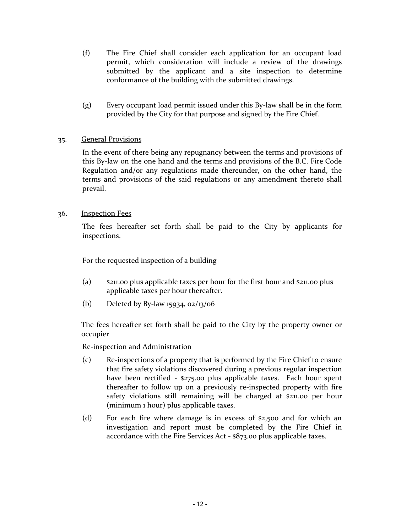- (f) The Fire Chief shall consider each application for an occupant load permit, which consideration will include a review of the drawings submitted by the applicant and a site inspection to determine conformance of the building with the submitted drawings.
- (g) Every occupant load permit issued under this By-law shall be in the form provided by the City for that purpose and signed by the Fire Chief.

## 35. General Provisions

In the event of there being any repugnancy between the terms and provisions of this By-law on the one hand and the terms and provisions of the B.C. Fire Code Regulation and/or any regulations made thereunder, on the other hand, the terms and provisions of the said regulations or any amendment thereto shall prevail.

### 36. Inspection Fees

The fees hereafter set forth shall be paid to the City by applicants for inspections.

For the requested inspection of a building

- (a) \$211.00 plus applicable taxes per hour for the first hour and \$211.00 plus applicable taxes per hour thereafter.
- (b) Deleted by By-law 15934, 02/13/06

The fees hereafter set forth shall be paid to the City by the property owner or occupier

Re-inspection and Administration

- (c) Re-inspections of a property that is performed by the Fire Chief to ensure that fire safety violations discovered during a previous regular inspection have been rectified - \$275.00 plus applicable taxes. Each hour spent thereafter to follow up on a previously re-inspected property with fire safety violations still remaining will be charged at \$211.00 per hour (minimum 1 hour) plus applicable taxes.
- (d) For each fire where damage is in excess of \$2,500 and for which an investigation and report must be completed by the Fire Chief in accordance with the Fire Services Act - \$873.00 plus applicable taxes.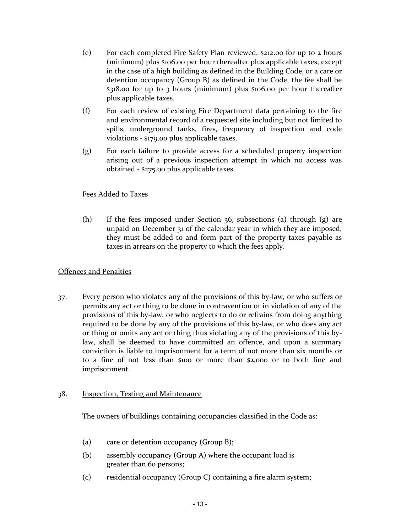- (e) For each completed Fire Safety Plan reviewed, \$212.00 for up to 2 hours (minimum) plus \$106.00 per hour thereafter plus applicable taxes, except in the case of a high building as defined in the Building Code, or a care or detention occupancy (Group B) as defined in the Code, the fee shall be \$318.00 for up to 3 hours (minimum) plus \$106.00 per hour thereafter plus applicable taxes.
- (f) For each review of existing Fire Department data pertaining to the fire and environmental record of a requested site including but not limited to spills, underground tanks, fires, frequency of inspection and code violations - \$179.00 plus applicable taxes.
- (g) For each failure to provide access for a scheduled property inspection arising out of a previous inspection attempt in which no access was obtained - \$275.00 plus applicable taxes.

## Fees Added to Taxes

(h) If the fees imposed under Section 36, subsections (a) through (g) are unpaid on December 31 of the calendar year in which they are imposed, they must be added to and form part of the property taxes payable as taxes in arrears on the property to which the fees apply.

## Offences and Penalties

37. Every person who violates any of the provisions of this by-law, or who suffers or permits any act or thing to be done in contravention or in violation of any of the provisions of this by-law, or who neglects to do or refrains from doing anything required to be done by any of the provisions of this by-law, or who does any act or thing or omits any act or thing thus violating any of the provisions of this bylaw, shall be deemed to have committed an offence, and upon a summary conviction is liable to imprisonment for a term of not more than six months or to a fine of not less than \$100 or more than \$2,000 or to both fine and imprisonment.

### 38. Inspection, Testing and Maintenance

The owners of buildings containing occupancies classified in the Code as:

- (a) care or detention occupancy (Group B);
- (b) assembly occupancy (Group A) where the occupant load is greater than 60 persons;
- (c) residential occupancy (Group C) containing a fire alarm system;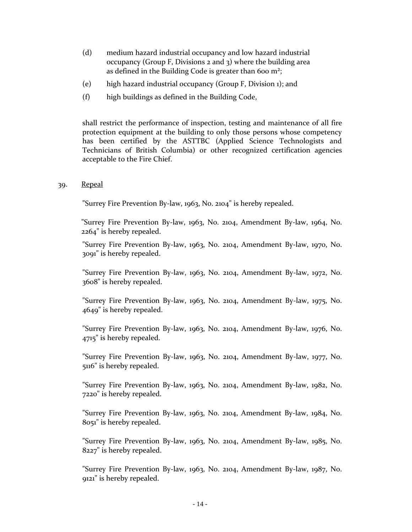- (d) medium hazard industrial occupancy and low hazard industrial occupancy (Group F, Divisions 2 and 3) where the building area as defined in the Building Code is greater than 600  $m^2$ ;
- (e) high hazard industrial occupancy (Group F, Division 1); and
- (f) high buildings as defined in the Building Code,

shall restrict the performance of inspection, testing and maintenance of all fire protection equipment at the building to only those persons whose competency has been certified by the ASTTBC (Applied Science Technologists and Technicians of British Columbia) or other recognized certification agencies acceptable to the Fire Chief.

#### 39. Repeal

"Surrey Fire Prevention By-law, 1963, No. 2104" is hereby repealed.

"Surrey Fire Prevention By-law, 1963, No. 2104, Amendment By-law, 1964, No. 2264" is hereby repealed.

"Surrey Fire Prevention By-law, 1963, No. 2104, Amendment By-law, 1970, No. 3091" is hereby repealed.

"Surrey Fire Prevention By-law, 1963, No. 2104, Amendment By-law, 1972, No. 3608" is hereby repealed.

"Surrey Fire Prevention By-law, 1963, No. 2104, Amendment By-law, 1975, No. 4649" is hereby repealed.

"Surrey Fire Prevention By-law, 1963, No. 2104, Amendment By-law, 1976, No. 4715" is hereby repealed.

"Surrey Fire Prevention By-law, 1963, No. 2104, Amendment By-law, 1977, No. 5116" is hereby repealed.

"Surrey Fire Prevention By-law, 1963, No. 2104, Amendment By-law, 1982, No. 7220" is hereby repealed.

"Surrey Fire Prevention By-law, 1963, No. 2104, Amendment By-law, 1984, No. 8051" is hereby repealed.

"Surrey Fire Prevention By-law, 1963, No. 2104, Amendment By-law, 1985, No. 8227" is hereby repealed.

"Surrey Fire Prevention By-law, 1963, No. 2104, Amendment By-law, 1987, No. 9121" is hereby repealed.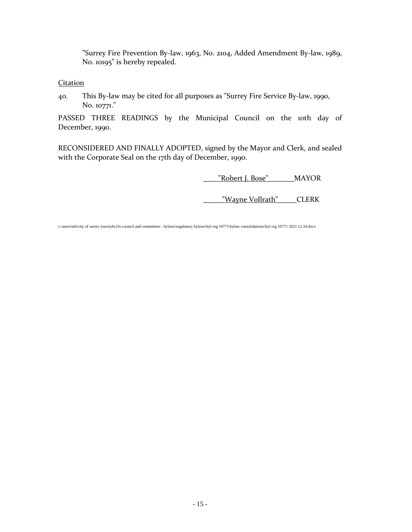"Surrey Fire Prevention By-law, 1963, No. 2104, Added Amendment By-law, 1989, No. 10195" is hereby repealed.

**Citation** 

40. This By-law may be cited for all purposes as "Surrey Fire Service By-law, 1990, No. 10771."

PASSED THREE READINGS by the Municipal Council on the 10th day of December, 1990.

RECONSIDERED AND FINALLY ADOPTED, signed by the Mayor and Clerk, and sealed with the Corporate Seal on the 17th day of December, 1990.

\_\_\_\_"Robert J. Bose"\_\_\_\_\_\_\_MAYOR

\_\_\_\_\_"Wayne Vollrath"\_\_\_\_\_CLERK

c:\users\seh\city of surrey (surreybc)\ls council and committees - bylaws\regulatory bylaws\byl reg 10771\bylaw consolidations\byl reg 10771 2021 12 24.docx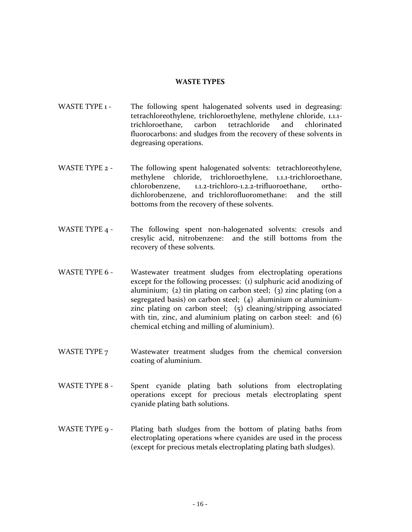#### **WASTE TYPES**

- WASTE TYPE 1 The following spent halogenated solvents used in degreasing: tetrachloreothylene, trichloroethylene, methylene chloride, 1.1.1 trichloroethane, carbon tetrachloride and chlorinated fluorocarbons: and sludges from the recovery of these solvents in degreasing operations.
- WASTE TYPE 2 The following spent halogenated solvents: tetrachloreothylene, methylene chloride, trichloroethylene, 1.1.1-trichloroethane, chlorobenzene, 1.1.2-trichloro-1.2.2-trifluoroethane, orthodichlorobenzene, and trichlorofluoromethane: and the still bottoms from the recovery of these solvents.
- WASTE TYPE 4 The following spent non-halogenated solvents: cresols and cresylic acid, nitrobenzene: and the still bottoms from the recovery of these solvents.
- WASTE TYPE 6 Wastewater treatment sludges from electroplating operations except for the following processes: (1) sulphuric acid anodizing of aluminium; (2) tin plating on carbon steel; (3) zinc plating (on a segregated basis) on carbon steel; (4) aluminium or aluminiumzinc plating on carbon steel; (5) cleaning/stripping associated with tin, zinc, and aluminium plating on carbon steel: and (6) chemical etching and milling of aluminium).
- WASTE TYPE 7 Wastewater treatment sludges from the chemical conversion coating of aluminium.
- WASTE TYPE 8 Spent cyanide plating bath solutions from electroplating operations except for precious metals electroplating spent cyanide plating bath solutions.
- WASTE TYPE 9 Plating bath sludges from the bottom of plating baths from electroplating operations where cyanides are used in the process (except for precious metals electroplating plating bath sludges).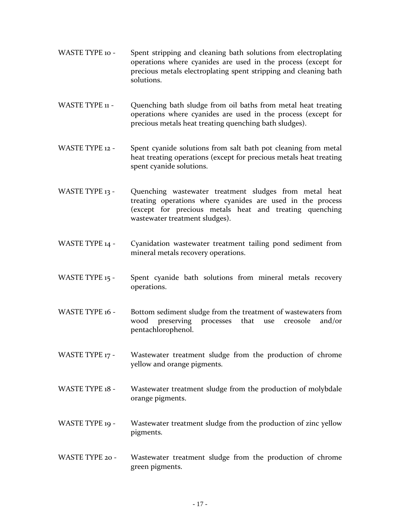- WASTE TYPE 10 Spent stripping and cleaning bath solutions from electroplating operations where cyanides are used in the process (except for precious metals electroplating spent stripping and cleaning bath solutions.
- WASTE TYPE 11 Quenching bath sludge from oil baths from metal heat treating operations where cyanides are used in the process (except for precious metals heat treating quenching bath sludges).
- WASTE TYPE 12 Spent cyanide solutions from salt bath pot cleaning from metal heat treating operations (except for precious metals heat treating spent cyanide solutions.
- WASTE TYPE 13 Quenching wastewater treatment sludges from metal heat treating operations where cyanides are used in the process (except for precious metals heat and treating quenching wastewater treatment sludges).
- WASTE TYPE 14 Cyanidation wastewater treatment tailing pond sediment from mineral metals recovery operations.
- WASTE TYPE 15 Spent cyanide bath solutions from mineral metals recovery operations.
- WASTE TYPE 16 Bottom sediment sludge from the treatment of wastewaters from wood preserving processes that use creosole and/or pentachlorophenol.
- WASTE TYPE 17 Wastewater treatment sludge from the production of chrome yellow and orange pigments.
- WASTE TYPE 18 Wastewater treatment sludge from the production of molybdale orange pigments.
- WASTE TYPE 19 Wastewater treatment sludge from the production of zinc yellow pigments.
- WASTE TYPE 20 Wastewater treatment sludge from the production of chrome green pigments.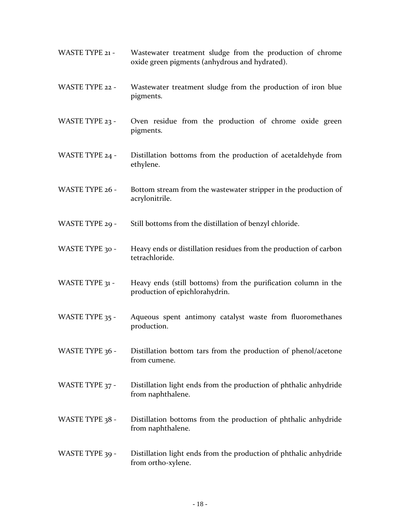- WASTE TYPE 21 Wastewater treatment sludge from the production of chrome oxide green pigments (anhydrous and hydrated).
- WASTE TYPE 22 Wastewater treatment sludge from the production of iron blue pigments.
- WASTE TYPE 23 Oven residue from the production of chrome oxide green pigments.
- WASTE TYPE 24 Distillation bottoms from the production of acetaldehyde from ethylene.
- WASTE TYPE 26 Bottom stream from the wastewater stripper in the production of acrylonitrile.
- WASTE TYPE 29 Still bottoms from the distillation of benzyl chloride.
- WASTE TYPE 30 Heavy ends or distillation residues from the production of carbon tetrachloride.
- WASTE TYPE 31 Heavy ends (still bottoms) from the purification column in the production of epichlorahydrin.
- WASTE TYPE 35 Aqueous spent antimony catalyst waste from fluoromethanes production.
- WASTE TYPE 36 Distillation bottom tars from the production of phenol/acetone from cumene.
- WASTE TYPE 37 Distillation light ends from the production of phthalic anhydride from naphthalene.
- WASTE TYPE 38 Distillation bottoms from the production of phthalic anhydride from naphthalene.
- WASTE TYPE 39 Distillation light ends from the production of phthalic anhydride from ortho-xylene.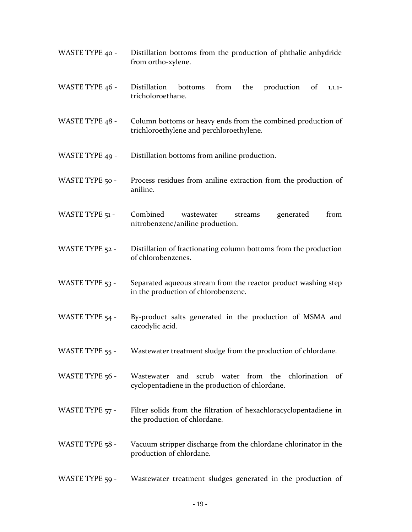- WASTE TYPE 40 Distillation bottoms from the production of phthalic anhydride from ortho-xylene.
- WASTE TYPE 46 Distillation bottoms from the production of 1.1.1tricholoroethane.
- WASTE TYPE 48 Column bottoms or heavy ends from the combined production of trichloroethylene and perchloroethylene.
- WASTE TYPE 49 Distillation bottoms from aniline production.
- WASTE TYPE 50 Process residues from aniline extraction from the production of aniline.
- WASTE TYPE 51 Combined wastewater streams generated from nitrobenzene/aniline production.
- WASTE TYPE 52 Distillation of fractionating column bottoms from the production of chlorobenzenes.
- WASTE TYPE 53 Separated aqueous stream from the reactor product washing step in the production of chlorobenzene.
- WASTE TYPE 54 By-product salts generated in the production of MSMA and cacodylic acid.
- WASTE TYPE 55 Wastewater treatment sludge from the production of chlordane.
- WASTE TYPE 56 Wastewater and scrub water from the chlorination of cyclopentadiene in the production of chlordane.
- WASTE TYPE 57 Filter solids from the filtration of hexachloracyclopentadiene in the production of chlordane.
- WASTE TYPE 58 Vacuum stripper discharge from the chlordane chlorinator in the production of chlordane.
- WASTE TYPE 59 Wastewater treatment sludges generated in the production of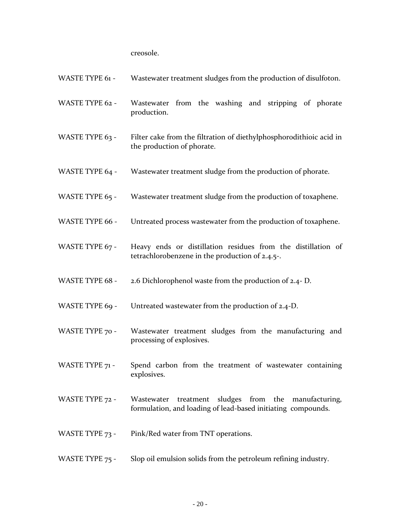creosole.

| <b>WASTE TYPE 61 -</b> | Wastewater treatment sludges from the production of disulfoton. |  |  |
|------------------------|-----------------------------------------------------------------|--|--|
|                        |                                                                 |  |  |

- WASTE TYPE 62 Wastewater from the washing and stripping of phorate production.
- WASTE TYPE 63 Filter cake from the filtration of diethylphosphorodithioic acid in the production of phorate.
- WASTE TYPE 64 Wastewater treatment sludge from the production of phorate.
- WASTE TYPE 65 Wastewater treatment sludge from the production of toxaphene.
- WASTE TYPE 66 Untreated process wastewater from the production of toxaphene.
- WASTE TYPE 67 Heavy ends or distillation residues from the distillation of tetrachlorobenzene in the production of 2.4.5-.
- WASTE TYPE 68 2.6 Dichlorophenol waste from the production of 2.4- D.
- WASTE TYPE 69 Untreated wastewater from the production of 2.4-D.
- WASTE TYPE 70 Wastewater treatment sludges from the manufacturing and processing of explosives.
- WASTE TYPE 71 Spend carbon from the treatment of wastewater containing explosives.
- WASTE TYPE 72 Wastewater treatment sludges from the manufacturing, formulation, and loading of lead-based initiating compounds.
- WASTE TYPE 73 Pink/Red water from TNT operations.
- WASTE TYPE 75 Slop oil emulsion solids from the petroleum refining industry.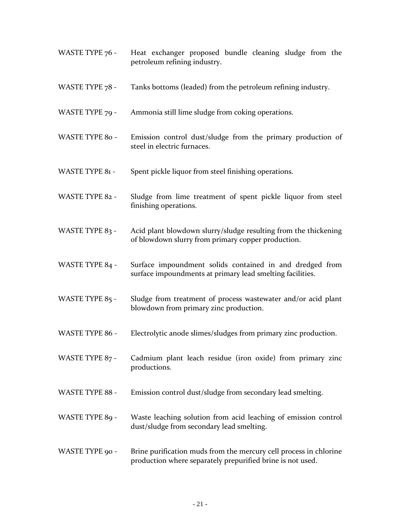- WASTE TYPE 76 Heat exchanger proposed bundle cleaning sludge from the petroleum refining industry.
- WASTE TYPE 78 Tanks bottoms (leaded) from the petroleum refining industry.
- WASTE TYPE 79 Ammonia still lime sludge from coking operations.
- WASTE TYPE 80 Emission control dust/sludge from the primary production of steel in electric furnaces.
- WASTE TYPE 81 Spent pickle liquor from steel finishing operations.
- WASTE TYPE 82 Sludge from lime treatment of spent pickle liquor from steel finishing operations.
- WASTE TYPE 83 Acid plant blowdown slurry/sludge resulting from the thickening of blowdown slurry from primary copper production.
- WASTE TYPE 84 Surface impoundment solids contained in and dredged from surface impoundments at primary lead smelting facilities.
- WASTE TYPE 85 Sludge from treatment of process wastewater and/or acid plant blowdown from primary zinc production.
- WASTE TYPE 86 Electrolytic anode slimes/sludges from primary zinc production.
- WASTE TYPE 87 Cadmium plant leach residue (iron oxide) from primary zinc productions.
- WASTE TYPE 88 Emission control dust/sludge from secondary lead smelting.
- WASTE TYPE 89 Waste leaching solution from acid leaching of emission control dust/sludge from secondary lead smelting.
- WASTE TYPE 90 Brine purification muds from the mercury cell process in chlorine production where separately prepurified brine is not used.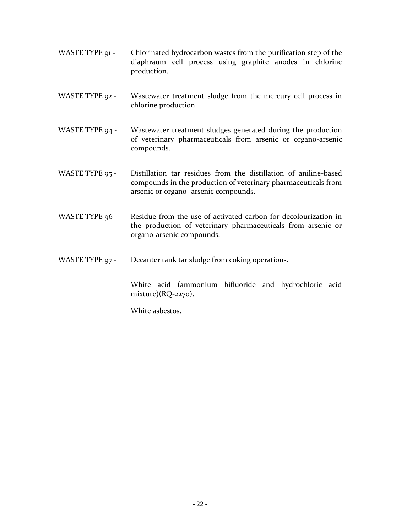- WASTE TYPE 91 Chlorinated hydrocarbon wastes from the purification step of the diaphraum cell process using graphite anodes in chlorine production.
- WASTE TYPE 92 Wastewater treatment sludge from the mercury cell process in chlorine production.
- WASTE TYPE 94 Wastewater treatment sludges generated during the production of veterinary pharmaceuticals from arsenic or organo-arsenic compounds.
- WASTE TYPE 95 Distillation tar residues from the distillation of aniline-based compounds in the production of veterinary pharmaceuticals from arsenic or organo- arsenic compounds.
- WASTE TYPE 96 Residue from the use of activated carbon for decolourization in the production of veterinary pharmaceuticals from arsenic or organo-arsenic compounds.
- WASTE TYPE 97 Decanter tank tar sludge from coking operations.

White acid (ammonium bifluoride and hydrochloric acid mixture)(RQ-2270).

White asbestos.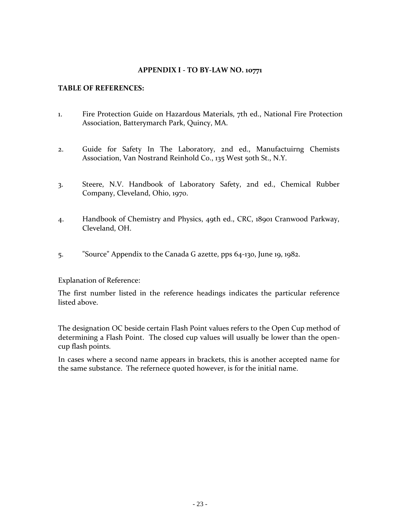#### **TABLE OF REFERENCES:**

- 1. Fire Protection Guide on Hazardous Materials, 7th ed., National Fire Protection Association, Batterymarch Park, Quincy, MA.
- 2. Guide for Safety In The Laboratory, 2nd ed., Manufactuirng Chemists Association, Van Nostrand Reinhold Co., 135 West 50th St., N.Y.
- 3. Steere, N.V. Handbook of Laboratory Safety, 2nd ed., Chemical Rubber Company, Cleveland, Ohio, 1970.
- 4. Handbook of Chemistry and Physics, 49th ed., CRC, 18901 Cranwood Parkway, Cleveland, OH.
- 5. "Source" Appendix to the Canada G azette, pps 64-130, June 19, 1982.

Explanation of Reference:

The first number listed in the reference headings indicates the particular reference listed above.

The designation OC beside certain Flash Point values refers to the Open Cup method of determining a Flash Point. The closed cup values will usually be lower than the opencup flash points.

In cases where a second name appears in brackets, this is another accepted name for the same substance. The refernece quoted however, is for the initial name.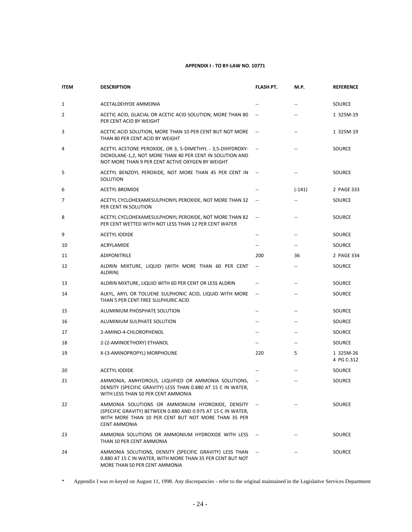| <b>ITEM</b> | <b>DESCRIPTION</b>                                                                                                                                                                             | <b>FLASH PT.</b>         | M.P.                     | <b>REFERENCE</b>        |
|-------------|------------------------------------------------------------------------------------------------------------------------------------------------------------------------------------------------|--------------------------|--------------------------|-------------------------|
| 1           | ACETALDEHYDE AMMONIA                                                                                                                                                                           | $\overline{\phantom{a}}$ | --                       | SOURCE                  |
| 2           | ACETIC ACID, GLACIAL OR ACETIC ACID SOLUTION, MORE THAN 80<br>PER CENT ACID BY WEIGHT                                                                                                          |                          | Ц.                       | 1 325M-19               |
| 3           | ACETIC ACID SOLUTION, MORE THAN 10 PER CENT BUT NOT MORE<br>THAN 80 PER CENT ACID BY WEIGHT                                                                                                    |                          | $\overline{\phantom{a}}$ | 1 325M-19               |
| 4           | ACETYL ACETONE PEROXIDE, OR 3, 5-DIMETHYL - 3,5-DIHYDROXY-<br>DIOXOLANE-1,2, NOT MORE THAN 40 PER CENT IN SOLUTION AND<br>NOT MORE THAN 9 PER CENT ACTIVE OXYGEN BY WEIGHT                     |                          |                          | SOURCE                  |
| 5           | ACETYL BENZOYL PEROXIDE, NOT MORE THAN 45 PER CENT IN<br>SOLUTION                                                                                                                              | $\sim$                   | --                       | <b>SOURCE</b>           |
| 6           | <b>ACETYL BROMIDE</b>                                                                                                                                                                          |                          | $(-141)$                 | 2 PAGE 333              |
| 7           | ACETYL CYCLOHEXAMESULPHONYL PEROXIDE, NOT MORE THAN 32<br>PER CENT IN SOLUTION                                                                                                                 |                          | $\overline{\phantom{a}}$ | SOURCE                  |
| 8           | ACETYL CYCLOHEXAMESULPHONYL PEROXIDE, NOT MORE THAN 82<br>PER CENT WETTED WITH NOT LESS THAN 12 PER CENT WATER                                                                                 |                          | --                       | SOURCE                  |
| 9           | <b>ACETYL IODIDE</b>                                                                                                                                                                           | $-$                      | --                       | SOURCE                  |
| 10          | ACRYLAMIDE                                                                                                                                                                                     | $\overline{\phantom{a}}$ | --                       | SOURCE                  |
| 11          | <b>ADIPONITRILE</b>                                                                                                                                                                            | 200                      | 36                       | 2 PAGE 334              |
| 12          | ALDRIN MIXTURE, LIQUID (WITH MORE THAN 60 PER CENT<br>ALDRIN)                                                                                                                                  | $\overline{\phantom{a}}$ | --                       | SOURCE                  |
| 13          | ALDRIN MIXTURE, LIQUID WITH 60 PER CENT OR LESS ALDRIN                                                                                                                                         | $\overline{\phantom{a}}$ | --                       | SOURCE                  |
| 14          | ALKYL, ARYL OR TOLUENE SULPHONIC ACID, LIQUID WITH MORE<br>THAN 5 PER CENT FREE SULPHURIC ACID                                                                                                 | $\overline{\phantom{a}}$ | --                       | SOURCE                  |
| 15          | ALUMINIUM PHOSPHATE SOLUTION                                                                                                                                                                   | $\overline{\phantom{m}}$ | --                       | SOURCE                  |
| 16          | ALUMINIUM SULPHATE SOLUTION                                                                                                                                                                    | $\overline{\phantom{a}}$ | $\overline{\phantom{a}}$ | SOURCE                  |
| 17          | 2-AMINO-4-CHLOROPHENOL                                                                                                                                                                         | $\overline{\phantom{a}}$ | $\overline{\phantom{0}}$ | SOURCE                  |
| 18          | 2-(2-AMINOETHOXY) ETHANOL                                                                                                                                                                      | $\overline{\phantom{a}}$ | --                       | SOURCE                  |
| 19          | X-(3-AMINOPROPYL) MORPHOLINE                                                                                                                                                                   | 220                      | 5                        | 1 325M-26<br>4 PG C-312 |
| 20          | <b>ACETYL IODIDE</b>                                                                                                                                                                           | $\overline{\phantom{a}}$ |                          | SOURCE                  |
| 21          | AMMONIA, AMHYDROUS, LIQUIFIED OR AMMONIA SOLUTIONS,<br>DENSITY (SPECIFIC GRAVITY) LESS THAN 0.880 AT 15 C IN WATER,<br>WITH LESS THAN 50 PER CENT AMMONIA                                      |                          |                          | SOURCE                  |
| 22          | AMMONIA SOLUTIONS OR AMMONIUM HYDROXIDE, DENSITY<br>(SPECIFIC GRAVITY) BETWEEN 0.880 AND 0.975 AT 15 C IN WATER,<br>WITH MORE THAN 10 PER CENT BUT NOT MORE THAN 35 PER<br><b>CENT AMMONIA</b> |                          |                          | SOURCE                  |
| 23          | AMMONIA SOLUTIONS OR AMMONIUM HYDROXIDE WITH LESS<br>THAN 10 PER CENT AMMONIA                                                                                                                  |                          |                          | SOURCE                  |
| 24          | AMMONIA SOLUTIONS, DENSITY (SPECIFIC GRAVITY) LESS THAN<br>0.880 AT 15 C IN WATER, WITH MORE THAN 35 PER CENT BUT NOT<br>MORE THAN 50 PER CENT AMMONIA                                         |                          |                          | SOURCE                  |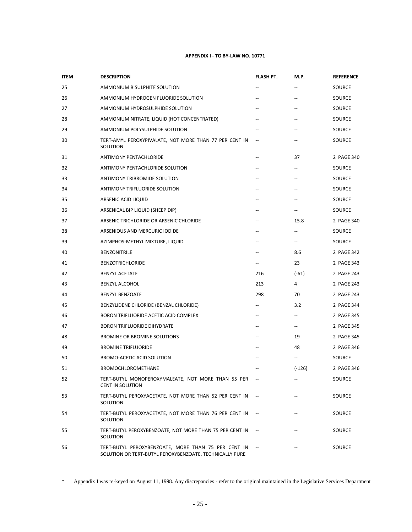| <b>ITEM</b> | <b>DESCRIPTION</b>                                                                                             | FLASH PT.                | M.P.                                                | <b>REFERENCE</b> |
|-------------|----------------------------------------------------------------------------------------------------------------|--------------------------|-----------------------------------------------------|------------------|
| 25          | AMMONIUM BISULPHITE SOLUTION                                                                                   |                          |                                                     | SOURCE           |
| 26          | AMMONIUM HYDROGEN FLUORIDE SOLUTION                                                                            | $-$                      | --                                                  | SOURCE           |
| 27          | AMMONIUM HYDROSULPHIDE SOLUTION                                                                                | $\overline{a}$           |                                                     | SOURCE           |
| 28          | AMMONIUM NITRATE, LIQUID (HOT CONCENTRATED)                                                                    |                          |                                                     | SOURCE           |
| 29          | AMMONIUM POLYSULPHIDE SOLUTION                                                                                 |                          |                                                     | SOURCE           |
| 30          | TERT-AMYL PEROXYPIVALATE, NOT MORE THAN 77 PER CENT IN<br>SOLUTION                                             | $\overline{\phantom{a}}$ | --                                                  | SOURCE           |
| 31          | <b>ANTIMONY PENTACHLORIDE</b>                                                                                  | $-$                      | 37                                                  | 2 PAGE 340       |
| 32          | ANTIMONY PENTACHLORIDE SOLUTION                                                                                |                          |                                                     | SOURCE           |
| 33          | ANTIMONY TRIBROMIDE SOLUTION                                                                                   | $-$                      | $\overline{a}$                                      | SOURCE           |
| 34          | ANTIMONY TRIFLUORIDE SOLUTION                                                                                  | --                       | $\overline{\phantom{a}}$                            | SOURCE           |
| 35          | ARSENIC ACID LIQUID                                                                                            | $\overline{a}$           |                                                     | SOURCE           |
| 36          | ARSENICAL BIP LIQUID (SHEEP DIP)                                                                               |                          | $\overline{\phantom{a}}$                            | SOURCE           |
| 37          | ARSENIC TRICHLORIDE OR ARSENIC CHLORIDE                                                                        | $\overline{\phantom{m}}$ | 15.8                                                | 2 PAGE 340       |
| 38          | ARSENIOUS AND MERCURIC IODIDE                                                                                  | --                       | $\overline{\phantom{a}}$                            | SOURCE           |
| 39          | AZIMPHOS-METHYL MIXTURE, LIQUID                                                                                | $-$                      | $\hspace{0.05cm} -\hspace{0.05cm} -\hspace{0.05cm}$ | SOURCE           |
| 40          | <b>BENZONITRILE</b>                                                                                            |                          | 8.6                                                 | 2 PAGE 342       |
| 41          | <b>BENZOTRICHLORIDE</b>                                                                                        | $\overline{\phantom{a}}$ | 23                                                  | 2 PAGE 343       |
| 42          | <b>BENZYL ACETATE</b>                                                                                          | 216                      | $(-61)$                                             | 2 PAGE 243       |
| 43          | <b>BENZYL ALCOHOL</b>                                                                                          | 213                      | 4                                                   | 2 PAGE 243       |
| 44          | <b>BENZYL BENZOATE</b>                                                                                         | 298                      | 70                                                  | 2 PAGE 243       |
| 45          | BENZYLIDENE CHLORIDE (BENZAL CHLORIDE)                                                                         | $\overline{\phantom{m}}$ | 3.2                                                 | 2 PAGE 344       |
| 46          | BORON TRIFLUORIDE ACETIC ACID COMPLEX                                                                          | $\qquad \qquad -$        | $\hspace{0.05cm} \ldots$                            | 2 PAGE 345       |
| 47          | <b>BORON TRIFLUORIDE DIHYDRATE</b>                                                                             | $\overline{a}$           | $\hspace{0.05cm} \ldots$                            | 2 PAGE 345       |
| 48          | BROMINE OR BROMINE SOLUTIONS                                                                                   |                          | 19                                                  | 2 PAGE 345       |
| 49          | <b>BROMINE TRIFLUORIDE</b>                                                                                     |                          | 48                                                  | 2 PAGE 346       |
| 50          | BROMO-ACETIC ACID SOLUTION                                                                                     |                          | $\overline{\phantom{a}}$                            | SOURCE           |
| 51          | <b>BROMOCHLOROMETHANE</b>                                                                                      |                          | $(-126)$                                            | 2 PAGE 346       |
| 52          | TERT-BUTYL MONOPEROXYMALEATE, NOT MORE THAN 55 PER<br>CENT IN SOLUTION                                         |                          |                                                     | SOURCE           |
| 53          | TERT-BUTYL PEROXYACETATE, NOT MORE THAN 52 PER CENT IN<br>SOLUTION                                             |                          |                                                     | SOURCE           |
| 54          | TERT-BUTYL PEROXYACETATE, NOT MORE THAN 76 PER CENT IN<br>SOLUTION                                             |                          |                                                     | SOURCE           |
| 55          | TERT-BUTYL PEROXYBENZOATE, NOT MORE THAN 75 PER CENT IN<br>SOLUTION                                            |                          |                                                     | SOURCE           |
| 56          | TERT-BUTYL PEROXYBENZOATE, MORE THAN 75 PER CENT IN<br>SOLUTION OR TERT-BUTYL PEROXYBENZOATE, TECHNICALLY PURE |                          |                                                     | SOURCE           |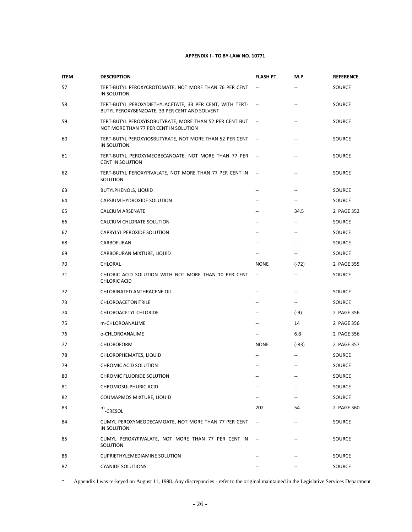| <b>ITEM</b> | <b>DESCRIPTION</b>                                                                                        | FLASH PT.                | M.P.                                                | <b>REFERENCE</b> |
|-------------|-----------------------------------------------------------------------------------------------------------|--------------------------|-----------------------------------------------------|------------------|
| 57          | TERT-BUTYL PEROXYCROTOMATE, NOT MORE THAN 76 PER CENT<br>IN SOLUTION                                      |                          |                                                     | SOURCE           |
| 58          | TERT-BUTYL PEROXYDIETHYLACETATE, 33 PER CENT, WITH TERT-<br>BUTYL PEROXYBENZOATE, 33 PER CENT AND SOLVENT | $\sim$ $-$               |                                                     | SOURCE           |
| 59          | TERT-BUTYL PEROXYISOBUTYRATE, MORE THAN 52 PER CENT BUT<br>NOT MORE THAN 77 PER CENT IN SOLUTION          |                          |                                                     | SOURCE           |
| 60          | TERT-BUTYL PEROXYIOSBUTYRATE, NOT MORE THAN 52 PER CENT<br>IN SOLUTION                                    | $\overline{\phantom{a}}$ |                                                     | SOURCE           |
| 61          | TERT-BUTYL PEROXYMEOBECANOATE, NOT MORE THAN 77 PER<br><b>CENT IN SOLUTION</b>                            |                          |                                                     | SOURCE           |
| 62          | TERT-BUTYL PEROXYPIVALATE, NOT MORE THAN 77 PER CENT IN<br>SOLUTION                                       | $\overline{\phantom{a}}$ | --                                                  | SOURCE           |
| 63          | <b>BUTYLPHENOLS, LIQUID</b>                                                                               | --                       | --                                                  | SOURCE           |
| 64          | CAESIUM HYDROXIDE SOLUTION                                                                                |                          | $\overline{\phantom{a}}$                            | SOURCE           |
| 65          | <b>CALCIUM ARSENATE</b>                                                                                   | --                       | 34.5                                                | 2 PAGE 352       |
| 66          | CALCIUM CHLORATE SOLUTION                                                                                 | --                       | $\hspace{0.05cm} -\hspace{0.05cm} -\hspace{0.05cm}$ | SOURCE           |
| 67          | CAPRYLYL PEROXIDE SOLUTION                                                                                | --                       | --                                                  | SOURCE           |
| 68          | CARBOFURAN                                                                                                | --                       |                                                     | SOURCE           |
| 69          | CARBOFURAN MIXTURE, LIQUID                                                                                |                          | $\overline{\phantom{a}}$                            | SOURCE           |
| 70          | CHLORAL                                                                                                   | <b>NONE</b>              | $(-72)$                                             | 2 PAGE 355       |
| 71          | CHLORIC ACID SOLUTION WITH NOT MORE THAN 10 PER CENT<br>CHLORIC ACID                                      | $\overline{\phantom{a}}$ |                                                     | SOURCE           |
| 72          | CHLORINATED ANTHRACENE OIL                                                                                | --                       | --                                                  | SOURCE           |
| 73          | CHLOROACETONITRILE                                                                                        | --                       | $\overline{\phantom{a}}$                            | SOURCE           |
| 74          | CHLOROACETYL CHLORIDE                                                                                     | --                       | $(-9)$                                              | 2 PAGE 356       |
| 75          | m-CHLOROANALIME                                                                                           | --                       | 14                                                  | 2 PAGE 356       |
| 76          | o-CHLOROANALIME                                                                                           |                          | 6.8                                                 | 2 PAGE 356       |
| 77          | CHLOROFORM                                                                                                | <b>NONE</b>              | $(-83)$                                             | 2 PAGE 357       |
| 78          | CHLOROPHEMATES, LIQUID                                                                                    |                          |                                                     | SOURCE           |
| 79          | CHROMIC ACID SOLUTION                                                                                     |                          |                                                     | <b>SOURCE</b>    |
| 80          | CHROMIC FLUORIDE SOLUTION                                                                                 |                          |                                                     | SOURCE           |
| 81          | CHROMOSULPHURIC ACID                                                                                      |                          |                                                     | SOURCE           |
| 82          | COUMAPMOS MIXTURE, LIQUID                                                                                 |                          |                                                     | SOURCE           |
| 83          | $m$ -CRESOL                                                                                               | 202                      | 54                                                  | 2 PAGE 360       |
| 84          | CUMYL PEROXYMEODECAMOATE, NOT MORE THAN 77 PER CENT<br>IN SOLUTION                                        |                          |                                                     | SOURCE           |
| 85          | CUMYL PEROXYPIVALATE, NOT MORE THAN 77 PER CENT IN<br>SOLUTION                                            |                          |                                                     | SOURCE           |
| 86          | <b>CUPRIETHYLEMEDIAMINE SOLUTION</b>                                                                      |                          |                                                     | SOURCE           |
| 87          | <b>CYANIDE SOLUTIONS</b>                                                                                  |                          |                                                     | SOURCE           |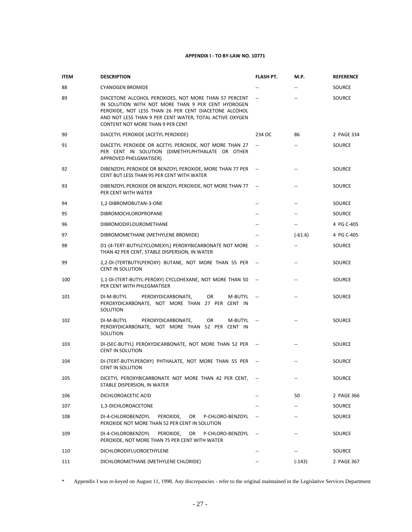| <b>ITEM</b> | <b>DESCRIPTION</b>                                                                                                                                                                                                                                                  | FLASH PT.                | M.P.                     | <b>REFERENCE</b> |
|-------------|---------------------------------------------------------------------------------------------------------------------------------------------------------------------------------------------------------------------------------------------------------------------|--------------------------|--------------------------|------------------|
| 88          | <b>CYANOGEN BROMIDE</b>                                                                                                                                                                                                                                             |                          |                          | SOURCE           |
| 89          | DIACETONE ALCOHOL PEROXIDES, NOT MORE THAN 57 PERCENT<br>IN SOLUTION WITH NOT MORE THAN 9 PER CENT HYDROGEN<br>PEROXIDE, NOT LESS THAN 26 PER CENT DIACETONE ALCOHOL<br>AND NOT LESS THAN 9 PER CENT WATER, TOTAL ACTIVE OXYGEN<br>CONTENT NOT MORE THAN 9 PER CENT |                          |                          | <b>SOURCE</b>    |
| 90          | DIACETYL PEROXIDE (ACETYL PEROXIDE)                                                                                                                                                                                                                                 | 234 OC                   | 86                       | 2 PAGE 334       |
| 91          | DIACETYL PEROXIDE OR ACETYL PEROXIDE, NOT MORE THAN 27<br>PER CENT IN SOLUTION (DIMETHYLPHTHALATE OR OTHER<br>APPROVED PHELGMATISER)                                                                                                                                | $\overline{\phantom{a}}$ |                          | SOURCE           |
| 92          | DIBENZOYL PEROXIDE OR BENZOYL PEROXIDE, MORE THAN 77 PER<br>CENT BUT LESS THAN 95 PER CENT WITH WATER                                                                                                                                                               |                          | --                       | SOURCE           |
| 93          | DIBENZOYL PEROXIDE OR BENZOYL PEROXIDE, NOT MORE THAN 77<br>PER CENT WITH WATER                                                                                                                                                                                     |                          |                          | SOURCE           |
| 94          | 1,2-DIBROMOBUTAN-3-ONE                                                                                                                                                                                                                                              | $\overline{a}$           | --                       | SOURCE           |
| 95          | <b>DIBROMOCHLOROPROPANE</b>                                                                                                                                                                                                                                         | $\overline{a}$           | $\overline{\phantom{a}}$ | SOURCE           |
| 96          | DIBROMODIFLOUROMETHANE                                                                                                                                                                                                                                              |                          | $\overline{\phantom{a}}$ | 4 PG C-405       |
| 97          | DIBROMOMETHANE (METHYLENE BROMIDE)                                                                                                                                                                                                                                  |                          | $(-61.6)$                | 4 PG C-405       |
| 98          | D1-(4-TERT-BUTYLCYCLOMEXYL) PEROXYBICARBONATE NOT MORE<br>THAN 42 PER CENT, STABLE DISPERSION, IN WATER                                                                                                                                                             | $\overline{\phantom{a}}$ | $\overline{\phantom{a}}$ | SOURCE           |
| 99          | 2,2-DI-(TERTBUTYLPEROXY) BUTANE, NOT MORE THAN 55 PER<br>CENT IN SOLUTION                                                                                                                                                                                           |                          | $\overline{\phantom{a}}$ | SOURCE           |
| 100         | 1,1-DI-(TERT-BUTYL-PEROXY) CYCLOHEXANE, NOT MORE THAN 50<br>PER CENT WITH PHLEGMATISER                                                                                                                                                                              |                          | $\overline{\phantom{a}}$ | SOURCE           |
| 101         | DI-M-BUTYL<br>PEROXYDICARBONATE,<br>OR<br>M-BUTYL<br>PEROXYDICARBONATE, NOT MORE THAN 27 PER CENT IN<br>SOLUTION                                                                                                                                                    |                          |                          | SOURCE           |
| 102         | DI-M-BUTYL<br>PEROXYDICARBONATE,<br>OR.<br>M-BUTYL<br>PEROXYDICARBONATE, NOT MORE THAN 52 PER CENT IN<br>SOLUTION                                                                                                                                                   |                          |                          | SOURCE           |
| 103         | DI-(SEC-BUTYL) PEROXYDICARBONATE, NOT MORE THAN 52 PER --<br><b>CENT IN SOLUTION</b>                                                                                                                                                                                |                          |                          | <b>SOURCE</b>    |
| 104         | DI-(TERT-BUTYLPEROXY) PHTHALATE, NOT MORE THAN 55 PER<br><b>CENT IN SOLUTION</b>                                                                                                                                                                                    |                          |                          | SOURCE           |
| 105         | DICETYL PEROXYBICARBONATE NOT MORE THAN 42 PER CENT,<br>STABLE DISPERSION, IN WATER                                                                                                                                                                                 |                          |                          | SOURCE           |
| 106         | DICHLOROACETIC ACID                                                                                                                                                                                                                                                 |                          | 50                       | 2 PAGE 366       |
| 107         | 1,3-DICHLOROACETONE                                                                                                                                                                                                                                                 |                          |                          | SOURCE           |
| 108         | DI-4-CHLOROBENZOYL<br>PEROXIDE,<br>OR<br>P-CHLORO-BENZOYL<br>PEROXIDE NOT MORE THAN 52 PER CENT IN SOLUTION                                                                                                                                                         |                          |                          | SOURCE           |
| 109         | DI-4-CHLOROBENZOYL<br>PEROXIDE,<br>OR<br>P-CHLORO-BENZOYL<br>PEROXIDE, NOT MORE THAN 75 PER CENT WITH WATER                                                                                                                                                         |                          |                          | SOURCE           |
| 110         | <b>DICHLORODIFLUOROETHYLENE</b>                                                                                                                                                                                                                                     |                          |                          | SOURCE           |
| 111         | DICHLOROMETHANE (METHYLENE CHLORIDE)                                                                                                                                                                                                                                |                          | $(-143)$                 | 2 PAGE 367       |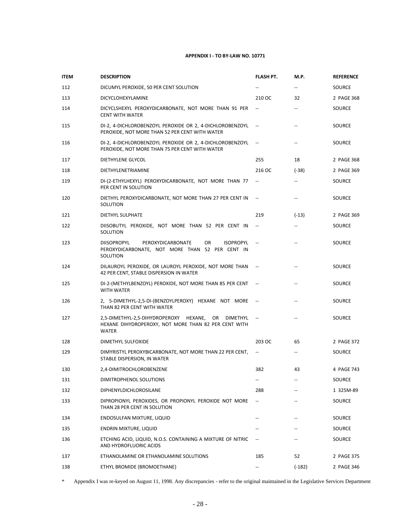| <b>ITEM</b> | <b>DESCRIPTION</b>                                                                                                                      | <b>FLASH PT.</b>         | M.P.                     | <b>REFERENCE</b> |
|-------------|-----------------------------------------------------------------------------------------------------------------------------------------|--------------------------|--------------------------|------------------|
| 112         | DICUMYL PEROXIDE, 50 PER CENT SOLUTION                                                                                                  |                          | $- -$                    | SOURCE           |
| 113         | DICYCLOHEXYLAMINE                                                                                                                       | 210 OC                   | 32                       | 2 PAGE 368       |
| 114         | DICYCLSHEXYL PEROXYDICARBONATE, NOT MORE THAN 91 PER<br><b>CENT WITH WATER</b>                                                          | $\overline{\phantom{a}}$ | $\overline{\phantom{a}}$ | SOURCE           |
| 115         | DI-2, 4-DICHLOROBENZOYL PEROXIDE OR 2, 4-DICHLOROBENZOYL<br>PEROXIDE, NOT MORE THAN 52 PER CENT WITH WATER                              |                          | --                       | SOURCE           |
| 116         | DI-2, 4-DICHLOROBENZOYL PEROXIDE OR 2, 4-DICHLOROBENZOYL<br>PEROXIDE, NOT MORE THAN 75 PER CENT WITH WATER                              |                          | $\overline{\phantom{a}}$ | SOURCE           |
| 117         | DIETHYLENE GLYCOL                                                                                                                       | 255                      | 18                       | 2 PAGE 368       |
| 118         | DIETHYLENETRIAMINE                                                                                                                      | 216 OC                   | $(-38)$                  | 2 PAGE 369       |
| 119         | DI-(2-ETHYLHEXYL) PEROXYDICARBONATE, NOT MORE THAN 77<br>PER CENT IN SOLUTION                                                           | $\overline{\phantom{a}}$ | $\overline{\phantom{a}}$ | SOURCE           |
| 120         | DIETHYL PEROXYDICARBONATE, NOT MORE THAN 27 PER CENT IN<br>SOLUTION                                                                     | $\overline{\phantom{a}}$ | --                       | SOURCE           |
| 121         | DIETHYL SULPHATE                                                                                                                        | 219                      | $(-13)$                  | 2 PAGE 369       |
| 122         | DIISOBUTYL PEROXIDE, NOT MORE THAN 52 PER CENT IN<br>SOLUTION                                                                           | $\overline{\phantom{a}}$ | --                       | SOURCE           |
| 123         | <b>DIISOPROPYL</b><br>PEROXYDICARBONATE<br>OR.<br><b>ISOPROPYL</b><br>PEROXYDICARBONATE, NOT MORE THAN 52 PER CENT IN<br>SOLUTION       |                          | --                       | <b>SOURCE</b>    |
| 124         | DILAUROYL PEROXIDE, OR LAUROYL PEROXIDE, NOT MORE THAN<br>42 PER CENT, STABLE DISPERSION IN WATER                                       |                          | $\overline{a}$           | SOURCE           |
| 125         | DI-2-(METHYLBENZOYL) PEROXIDE, NOT MORE THAN 85 PER CENT<br>WITH WATER                                                                  |                          |                          | SOURCE           |
| 126         | 2, 5-DIMETHYL-2,5-DI-(BENZOYLPEROXY) HEXANE NOT MORE<br>THAN 82 PER CENT WITH WATER                                                     | $\overline{\phantom{a}}$ | $\overline{a}$           | SOURCE           |
| 127         | 2,5-DIMETHYL-2,5-DIHYDROPEROXY HEXANE,<br>OR<br><b>DIMETHYL</b><br>HEXANE DIHYDROPEROXY, NOT MORE THAN 82 PER CENT WITH<br><b>WATER</b> |                          | $\overline{\phantom{a}}$ | SOURCE           |
| 128         | DIMETHYL SULFOXIDE                                                                                                                      | 203 OC                   | 65                       | 2 PAGE 372       |
| 129         | DIMYRISTYL PEROXYBICARBONATE, NOT MORE THAN 22 PER CENT,<br>STABLE DISPERSION, IN WATER                                                 | $\overline{\phantom{a}}$ | $\overline{\phantom{a}}$ | SOURCE           |
| 130         | 2,4-DIMITROCHLOROBENZENE                                                                                                                | 382                      | 43                       | 4 PAGE 743       |
| 131         | DIMITROPHENOL SOLUTIONS                                                                                                                 |                          |                          | SOURCE           |
| 132         | DIPHENYLDICHLOROSILANE                                                                                                                  | 288                      |                          | 1 325M-89        |
| 133         | DIPROPIONYL PEROXIDES, OR PROPIONYL PEROXIDE NOT MORE<br>THAN 28 PER CENT IN SOLUTION                                                   | $\overline{\phantom{a}}$ |                          | SOURCE           |
| 134         | ENDOSULFAN MIXTURE, LIQUID                                                                                                              |                          |                          | SOURCE           |
| 135         | ENDRIN MIXTURE, LIQUID                                                                                                                  |                          |                          | SOURCE           |
| 136         | ETCHING ACID, LIQUID, N.O.S. CONTAINING A MIXTURE OF NITRIC<br>AND HYDROFLUORIC ACIDS                                                   |                          |                          | SOURCE           |
| 137         | ETHANOLAMINE OR ETHANOLAMINE SOLUTIONS                                                                                                  | 185                      | 52                       | 2 PAGE 375       |
| 138         | ETHYL BROMIDE (BROMOETHANE)                                                                                                             |                          | $(-182)$                 | 2 PAGE 346       |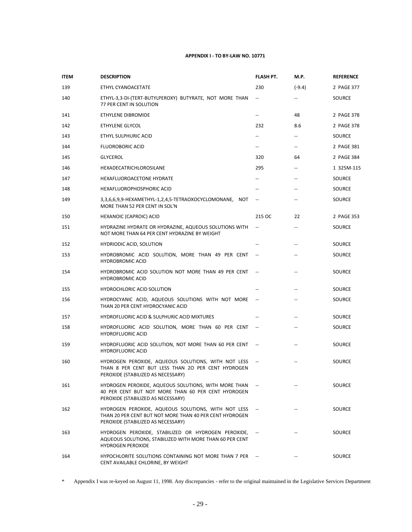| <b>ITEM</b> | <b>DESCRIPTION</b>                                                                                                                                   | <b>FLASH PT.</b>         | <b>M.P.</b>              | <b>REFERENCE</b> |
|-------------|------------------------------------------------------------------------------------------------------------------------------------------------------|--------------------------|--------------------------|------------------|
| 139         | ETHYL CYANOACETATE                                                                                                                                   | 230                      | $(-9.4)$                 | 2 PAGE 377       |
| 140         | ETHYL-3,3-DI-(TERT-BUTYLPEROXY) BUTYRATE, NOT MORE THAN<br>77 PER CENT IN SOLUTION                                                                   | $\overline{\phantom{a}}$ | --                       | SOURCE           |
| 141         | ETHYLENE DIBROMIDE                                                                                                                                   | $\overline{\phantom{a}}$ | 48                       | 2 PAGE 378       |
| 142         | ETHYLENE GLYCOL                                                                                                                                      | 232                      | 8.6                      | 2 PAGE 378       |
| 143         | ETHYL SULPHURIC ACID                                                                                                                                 | $\overline{\phantom{a}}$ | --                       | SOURCE           |
| 144         | <b>FLUOROBORIC ACID</b>                                                                                                                              | $\overline{\phantom{a}}$ | $- -$                    | 2 PAGE 381       |
| 145         | <b>GLYCEROL</b>                                                                                                                                      | 320                      | 64                       | 2 PAGE 384       |
| 146         | HEXADECATRICHLOROSILANE                                                                                                                              | 295                      | --                       | 1 325M-115       |
| 147         | HEXAFLUOROACETONE HYDRATE                                                                                                                            | $- -$                    | --                       | SOURCE           |
| 148         | HEXAFLUOROPHOSPHORIC ACID                                                                                                                            | $- -$                    | --                       | SOURCE           |
| 149         | 3,3,6,6,9,9-HEXAMETHYL-1,2,4,5-TETRAOXOCYCLOMONANE, NOT<br>MORE THAN 52 PER CENT IN SOL'N                                                            |                          |                          | SOURCE           |
| 150         | HEXANOIC (CAPROIC) ACID                                                                                                                              | 215 OC                   | 22                       | 2 PAGE 353       |
| 151         | HYDRAZINE HYDRATE OR HYDRAZINE, AQUEOUS SOLUTIONS WITH<br>NOT MORE THAN 64 PER CENT HYDRAZINE BY WEIGHT                                              | $\overline{\phantom{a}}$ | $\overline{\phantom{a}}$ | SOURCE           |
| 152         | <b>HYDRIODIC ACID, SOLUTION</b>                                                                                                                      |                          |                          | SOURCE           |
| 153         | HYDROBROMIC ACID SOLUTION, MORE THAN 49 PER CENT<br><b>HYDROBROMIC ACID</b>                                                                          |                          |                          | SOURCE           |
| 154         | HYDROBROMIC ACID SOLUTION NOT MORE THAN 49 PER CENT<br><b>HYDROBROMIC ACID</b>                                                                       |                          |                          | SOURCE           |
| 155         | HYDROCHLORIC ACID SOLUTION                                                                                                                           |                          |                          | SOURCE           |
| 156         | HYDROCYANIC ACID, AQUEOUS SOLUTIONS WITH NOT MORE<br>THAN 20 PER CENT HYDROCYANIC ACID                                                               | $\overline{\phantom{a}}$ |                          | SOURCE           |
| 157         | <b>HYDROFLUORIC ACID &amp; SULPHURIC ACID MIXTURES</b>                                                                                               |                          |                          | SOURCE           |
| 158         | HYDROFLUORIC ACID SOLUTION, MORE THAN 60 PER CENT<br><b>HYDROFLUORIC ACID</b>                                                                        | $\overline{\phantom{a}}$ |                          | SOURCE           |
| 159         | HYDROFLUORIC ACID SOLUTION, NOT MORE THAN 60 PER CENT<br><b>HYDROFLUORIC ACID</b>                                                                    |                          |                          | SOURCE           |
| 160         | HYDROGEN PEROXIDE, AQUEOUS SOLUTIONS, WITH NOT LESS<br>THAN 8 PER CENT BUT LESS THAN 20 PER CENT HYDROGEN<br>PEROXIDE (STABILIZED AS NECESSARY)      |                          |                          | SOURCE           |
| 161         | HYDROGEN PEROXIDE, AQUEOUS SOLUTIONS, WITH MORE THAN<br>40 PER CENT BUT NOT MORE THAN 60 PER CENT HYDROGEN<br>PEROXIDE (STABILIZED AS NECESSARY)     |                          |                          | SOURCE           |
| 162         | HYDROGEN PEROXIDE, AQUEOUS SOLUTIONS, WITH NOT LESS<br>THAN 20 PER CENT BUT NOT MORE THAN 40 PER CENT HYDROGEN<br>PEROXIDE (STABILIZED AS NECESSARY) |                          |                          | SOURCE           |
| 163         | HYDROGEN PEROXIDE, STABILIZED OR HYDROGEN PEROXIDE,<br>AQUEOUS SOLUTIONS, STABILIZED WITH MORE THAN 60 PER CENT<br><b>HYDROGEN PEROXIDE</b>          |                          |                          | <b>SOURCE</b>    |
| 164         | HYPOCHLORITE SOLUTIONS CONTAINING NOT MORE THAN 7 PER<br>CENT AVAILABLE CHLORINE, BY WEIGHT                                                          |                          |                          | <b>SOURCE</b>    |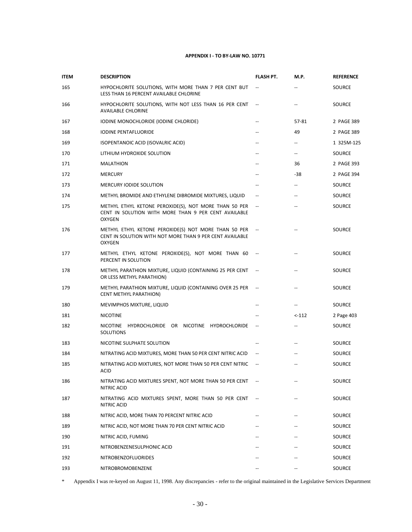| <b>ITEM</b> | <b>DESCRIPTION</b>                                                                                                                | <b>FLASH PT.</b>                                              | M.P.                                                | <b>REFERENCE</b> |
|-------------|-----------------------------------------------------------------------------------------------------------------------------------|---------------------------------------------------------------|-----------------------------------------------------|------------------|
| 165         | HYPOCHLORITE SOLUTIONS, WITH MORE THAN 7 PER CENT BUT<br>LESS THAN 16 PERCENT AVAILABLE CHLORINE                                  | $\hspace{0.1mm}-\hspace{0.1mm}-\hspace{0.1mm}-\hspace{0.1mm}$ |                                                     | SOURCE           |
| 166         | HYPOCHLORITE SOLUTIONS, WITH NOT LESS THAN 16 PER CENT<br><b>AVAILABLE CHLORINE</b>                                               |                                                               | $\overline{a}$                                      | SOURCE           |
| 167         | IODINE MONOCHLORIDE (IODINE CHLORIDE)                                                                                             | $\qquad \qquad -$                                             | 57-81                                               | 2 PAGE 389       |
| 168         | <b>IODINE PENTAFLUORIDE</b>                                                                                                       | $\overline{a}$                                                | 49                                                  | 2 PAGE 389       |
| 169         | ISOPENTANOIC ACID (ISOVALRIC ACID)                                                                                                | $\overline{\phantom{a}}$                                      | $\overline{\phantom{a}}$                            | 1 325M-125       |
| 170         | LITHIUM HYDROXIDE SOLUTION                                                                                                        | $\overline{a}$                                                | $\hspace{0.05cm} -\hspace{0.05cm} -\hspace{0.05cm}$ | SOURCE           |
| 171         | MALATHION                                                                                                                         | $-$                                                           | 36                                                  | 2 PAGE 393       |
| 172         | <b>MERCURY</b>                                                                                                                    | $\overline{\phantom{a}}$                                      | $-38$                                               | 2 PAGE 394       |
| 173         | MERCURY IODIDE SOLUTION                                                                                                           | $\overline{a}$                                                | $\overline{\phantom{a}}$                            | SOURCE           |
| 174         | METHYL BROMIDE AND ETHYLENE DIBROMIDE MIXTURES, LIQUID                                                                            |                                                               | --                                                  | SOURCE           |
| 175         | METHYL ETHYL KETONE PEROXIDE(S), NOT MORE THAN 50 PER<br>CENT IN SOLUTION WITH MORE THAN 9 PER CENT AVAILABLE<br><b>OXYGEN</b>    | $\overline{\phantom{a}}$                                      |                                                     | SOURCE           |
| 176         | METHYL ETHYL KETONE PEROXIDE(S) NOT MORE THAN 50 PER<br>CENT IN SOLUTION WITH NOT MORE THAN 9 PER CENT AVAILABLE<br><b>OXYGEN</b> | $\sim$                                                        |                                                     | SOURCE           |
| 177         | METHYL ETHYL KETONE PEROXIDE(S), NOT MORE THAN 60<br>PERCENT IN SOLUTION                                                          | $\overline{\phantom{a}}$                                      |                                                     | SOURCE           |
| 178         | METHYL PARATHION MIXTURE, LIQUID (CONTAINING 25 PER CENT<br>OR LESS METHYL PARATHION)                                             |                                                               |                                                     | SOURCE           |
| 179         | METHYL PARATHION MIXTURE, LIQUID (CONTAINING OVER 25 PER<br>CENT METHYL PARATHION)                                                |                                                               |                                                     | SOURCE           |
| 180         | MEVIMPHOS MIXTURE, LIQUID                                                                                                         | $-$                                                           | $\overline{\phantom{a}}$                            | SOURCE           |
| 181         | <b>NICOTINE</b>                                                                                                                   | $\overline{\phantom{a}}$                                      | $< -112$                                            | 2 Page 403       |
| 182         | NICOTINE HYDROCHLORIDE OR NICOTINE HYDROCHLORIDE<br><b>SOLUTIONS</b>                                                              | $\overline{\phantom{a}}$                                      | $\overline{\phantom{a}}$                            | SOURCE           |
| 183         | NICOTINE SULPHATE SOLUTION                                                                                                        |                                                               | $\overline{\phantom{a}}$                            | SOURCE           |
| 184         | NITRATING ACID MIXTURES, MORE THAN 50 PER CENT NITRIC ACID                                                                        | $\overline{\phantom{a}}$                                      |                                                     | SOURCE           |
| 185         | NITRATING ACID MIXTURES, NOT MORE THAN 50 PER CENT NITRIC<br><b>ACID</b>                                                          | $\overline{\phantom{a}}$                                      |                                                     | SOURCE           |
| 186         | NITRATING ACID MIXTURES SPENT, NOT MORE THAN 50 PER CENT<br>NITRIC ACID                                                           |                                                               |                                                     | SOURCE           |
| 187         | NITRATING ACID MIXTURES SPENT, MORE THAN 50 PER CENT<br>NITRIC ACID                                                               |                                                               |                                                     | SOURCE           |
| 188         | NITRIC ACID, MORE THAN 70 PERCENT NITRIC ACID                                                                                     |                                                               |                                                     | SOURCE           |
| 189         | NITRIC ACID, NOT MORE THAN 70 PER CENT NITRIC ACID                                                                                |                                                               |                                                     | SOURCE           |
| 190         | NITRIC ACID, FUMING                                                                                                               |                                                               |                                                     | SOURCE           |
| 191         | NITROBENZENESULPHONIC ACID                                                                                                        |                                                               |                                                     | SOURCE           |
| 192         | NITROBENZOFLUORIDES                                                                                                               |                                                               |                                                     | SOURCE           |
| 193         | NITROBROMOBENZENE                                                                                                                 |                                                               |                                                     | SOURCE           |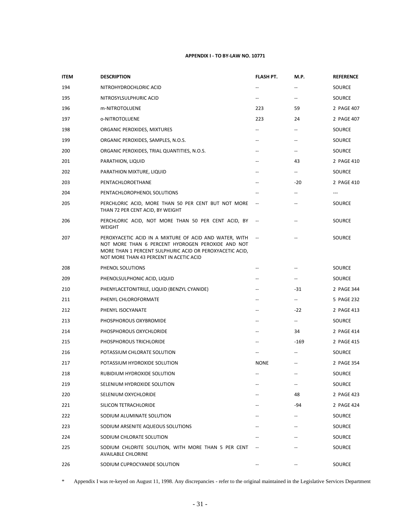| <b>ITEM</b> | <b>DESCRIPTION</b>                                                                                                                                                                                                 | FLASH PT.                | M.P.                     | <b>REFERENCE</b> |
|-------------|--------------------------------------------------------------------------------------------------------------------------------------------------------------------------------------------------------------------|--------------------------|--------------------------|------------------|
| 194         | NITROHYDROCHLORIC ACID                                                                                                                                                                                             |                          |                          | SOURCE           |
| 195         | NITROSYLSULPHURIC ACID                                                                                                                                                                                             | $\overline{\phantom{a}}$ | --                       | SOURCE           |
| 196         | m-NITROTOLUENE                                                                                                                                                                                                     | 223                      | 59                       | 2 PAGE 407       |
| 197         | o-NITROTOLUENE                                                                                                                                                                                                     | 223                      | 24                       | 2 PAGE 407       |
| 198         | ORGANIC PEROXIDES, MIXTURES                                                                                                                                                                                        | $\overline{\phantom{a}}$ | --                       | SOURCE           |
| 199         | ORGANIC PEROXIDES, SAMPLES, N.O.S.                                                                                                                                                                                 | $\overline{\phantom{a}}$ | $\overline{\phantom{a}}$ | SOURCE           |
| 200         | ORGANIC PEROXIDES, TRIAL QUANTITIES, N.O.S.                                                                                                                                                                        | --                       | --                       | SOURCE           |
| 201         | PARATHION, LIQUID                                                                                                                                                                                                  |                          | 43                       | 2 PAGE 410       |
| 202         | PARATHION MIXTURE, LIQUID                                                                                                                                                                                          | $\qquad \qquad -$        | $-$                      | SOURCE           |
| 203         | PENTACHLOROETHANE                                                                                                                                                                                                  | --                       | -20                      | 2 PAGE 410       |
| 204         | PENTACHLOROPHENOL SOLUTIONS                                                                                                                                                                                        |                          | --                       | ---              |
| 205         | PERCHLORIC ACID, MORE THAN 50 PER CENT BUT NOT MORE<br>THAN 72 PER CENT ACID, BY WEIGHT                                                                                                                            |                          |                          | SOURCE           |
| 206         | PERCHLORIC ACID, NOT MORE THAN 50 PER CENT ACID, BY<br>WEIGHT                                                                                                                                                      |                          |                          | SOURCE           |
| 207         | PEROXYACETIC ACID IN A MIXTURE OF ACID AND WATER, WITH<br>NOT MORE THAN 6 PERCENT HYDROGEN PEROXIDE AND NOT<br>MORE THAN 1 PERCENT SULPHURIC ACID OR PEROXYACETIC ACID,<br>NOT MORE THAN 43 PERCENT IN ACETIC ACID | $\overline{\phantom{a}}$ |                          | SOURCE           |
| 208         | PHENOL SOLUTIONS                                                                                                                                                                                                   |                          |                          | SOURCE           |
| 209         | PHENOLSULPHONIC ACID, LIQUID                                                                                                                                                                                       | --                       | ÷                        | SOURCE           |
| 210         | PHENYLACETONITRILE, LIQUID (BENZYL CYANIDE)                                                                                                                                                                        | $\overline{\phantom{a}}$ | $-31$                    | 2 PAGE 344       |
| 211         | PHENYL CHLOROFORMATE                                                                                                                                                                                               | $\overline{a}$           | $\overline{\phantom{a}}$ | 5 PAGE 232       |
| 212         | PHENYL ISOCYANATE                                                                                                                                                                                                  | $\overline{\phantom{m}}$ | $-22$                    | 2 PAGE 413       |
| 213         | PHOSPHOROUS OXYBROMIDE                                                                                                                                                                                             | --                       | -−                       | SOURCE           |
| 214         | PHOSPHOROUS OXYCHLORIDE                                                                                                                                                                                            |                          | 34                       | 2 PAGE 414       |
| 215         | PHOSPHOROUS TRICHLORIDE                                                                                                                                                                                            |                          | $-169$                   | 2 PAGE 415       |
| 216         | POTASSIUM CHLORATE SOLUTION                                                                                                                                                                                        |                          |                          | SOURCE           |
| 217         | POTASSIUM HYDROXIDE SOLUTION                                                                                                                                                                                       | <b>NONE</b>              |                          | 2 PAGE 354       |
| 218         | RUBIDIUM HYDROXIDE SOLUTION                                                                                                                                                                                        |                          | --                       | SOURCE           |
| 219         | SELENIUM HYDROXIDE SOLUTION                                                                                                                                                                                        |                          |                          | SOURCE           |
| 220         | SELENIUM OXYCHLORIDE                                                                                                                                                                                               |                          | 48                       | 2 PAGE 423       |
| 221         | SILICON TETRACHLORIDE                                                                                                                                                                                              |                          | -94                      | 2 PAGE 424       |
| 222         | SODIUM ALUMINATE SOLUTION                                                                                                                                                                                          |                          | --                       | SOURCE           |
| 223         | SODIUM ARSENITE AQUEOUS SOLUTIONS                                                                                                                                                                                  |                          | $\overline{a}$           | SOURCE           |
| 224         | SODIUM CHLORATE SOLUTION                                                                                                                                                                                           |                          |                          | SOURCE           |
| 225         | SODIUM CHLORITE SOLUTION, WITH MORE THAN 5 PER CENT<br><b>AVAILABLE CHLORINE</b>                                                                                                                                   |                          |                          | SOURCE           |
| 226         | SODIUM CUPROCYANIDE SOLUTION                                                                                                                                                                                       |                          |                          | SOURCE           |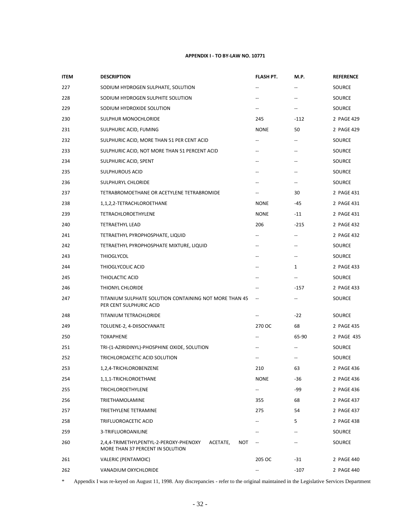| <b>ITEM</b> | <b>DESCRIPTION</b>                                                                            | FLASH PT.                | M.P.                     | <b>REFERENCE</b> |
|-------------|-----------------------------------------------------------------------------------------------|--------------------------|--------------------------|------------------|
| 227         | SODIUM HYDROGEN SULPHATE, SOLUTION                                                            |                          |                          | SOURCE           |
| 228         | SODIUM HYDROGEN SULPHITE SOLUTION                                                             |                          | --                       | SOURCE           |
| 229         | SODIUM HYDROXIDE SOLUTION                                                                     | --                       | --                       | SOURCE           |
| 230         | SULPHUR MONOCHLORIDE                                                                          | 245                      | $-112$                   | 2 PAGE 429       |
| 231         | SULPHURIC ACID, FUMING                                                                        | <b>NONE</b>              | 50                       | 2 PAGE 429       |
| 232         | SULPHURIC ACID, MORE THAN 51 PER CENT ACID                                                    | $\overline{\phantom{a}}$ | --                       | SOURCE           |
| 233         | SULPHURIC ACID, NOT MORE THAN 51 PERCENT ACID                                                 |                          | --                       | SOURCE           |
| 234         | SULPHURIC ACID, SPENT                                                                         | --                       | --                       | SOURCE           |
| 235         | <b>SULPHUROUS ACID</b>                                                                        | $\overline{\phantom{a}}$ | $\overline{\phantom{a}}$ | SOURCE           |
| 236         | SULPHURYL CHLORIDE                                                                            |                          | --                       | SOURCE           |
| 237         | TETRABROMOETHANE OR ACETYLENE TETRABROMIDE                                                    |                          | 30                       | 2 PAGE 431       |
| 238         | 1,1,2,2-TETRACHLOROETHANE                                                                     | <b>NONE</b>              | $-45$                    | 2 PAGE 431       |
| 239         | TETRACHLOROETHYLENE                                                                           | <b>NONE</b>              | $-11$                    | 2 PAGE 431       |
| 240         | TETRAETHYL LEAD                                                                               | 206                      | $-215$                   | 2 PAGE 432       |
| 241         | TETRAETHYL PYROPHOSPHATE, LIQUID                                                              | $\overline{a}$           | $\overline{\phantom{a}}$ | 2 PAGE 432       |
| 242         | TETRAETHYL PYROPHOSPHATE MIXTURE, LIQUID                                                      | --                       | $\overline{\phantom{a}}$ | SOURCE           |
| 243         | <b>THIOGLYCOL</b>                                                                             | $\overline{a}$           | --                       | SOURCE           |
| 244         | THIOGLYCOLIC ACID                                                                             |                          | $\mathbf{1}$             | 2 PAGE 433       |
| 245         | THIOLACTIC ACID                                                                               | --                       | $\overline{\phantom{a}}$ | SOURCE           |
| 246         | THIONYL CHLORIDE                                                                              |                          | $-157$                   | 2 PAGE 433       |
| 247         | TITANIUM SULPHATE SOLUTION CONTAINING NOT MORE THAN 45<br>PER CENT SULPHURIC ACID             | $\overline{\phantom{a}}$ | --                       | SOURCE           |
| 248         | TITANIUM TETRACHLORIDE                                                                        | --                       | $-22$                    | SOURCE           |
| 249         | TOLUENE-2, 4-DIISOCYANATE                                                                     | 270 OC                   | 68                       | 2 PAGE 435       |
| 250         | <b>TOXAPHENE</b>                                                                              | $\overline{\phantom{a}}$ | 65-90                    | 2 PAGE 435       |
| 251         | TRI-(1-AZIRIDINYL)-PHOSPHINE OXIDE, SOLUTION                                                  |                          | --                       | <b>SOURCE</b>    |
| 252         | TRICHLOROACETIC ACID SOLUTION                                                                 | $\overline{\phantom{a}}$ | $\overline{\phantom{a}}$ | SOURCE           |
| 253         | 1,2,4-TRICHLOROBENZENE                                                                        | 210                      | 63                       | 2 PAGE 436       |
| 254         | 1,1,1-TRICHLOROETHANE                                                                         | <b>NONE</b>              | -36                      | 2 PAGE 436       |
| 255         | <b>TRICHLOROETHYLENE</b>                                                                      |                          | -99                      | 2 PAGE 436       |
| 256         | TRIETHAMOLAMINE                                                                               | 355                      | 68                       | 2 PAGE 437       |
| 257         | TRIETHYLENE TETRAMINE                                                                         | 275                      | 54                       | 2 PAGE 437       |
| 258         | TRIFLUOROACETIC ACID                                                                          |                          | 5                        | 2 PAGE 438       |
| 259         | 3-TRIFLUOROANILINE                                                                            |                          |                          | SOURCE           |
| 260         | 2,4,4-TRIMETHYLPENTYL-2-PEROXY-PHENOXY<br>ACETATE,<br>NOT<br>MORE THAN 37 PERCENT IN SOLUTION |                          |                          | SOURCE           |
| 261         | VALERIC (PENTAMOIC)                                                                           | 205 OC                   | $-31$                    | 2 PAGE 440       |
| 262         | VANADIUM OXYCHLORIDE                                                                          |                          | $-107$                   | 2 PAGE 440       |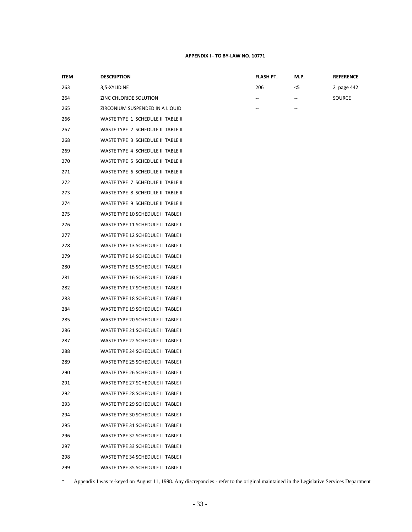| <b>ITEM</b> | <b>DESCRIPTION</b>                 | FLASH PT. | M.P.                                                | <b>REFERENCE</b> |
|-------------|------------------------------------|-----------|-----------------------------------------------------|------------------|
| 263         | 3,5-XYLIDINE                       | 206       | $<$ 5                                               | 2 page 442       |
| 264         | ZINC CHLORIDE SOLUTION             |           | $\hspace{0.05cm} -\hspace{0.05cm} -\hspace{0.05cm}$ | SOURCE           |
| 265         | ZIRCONIUM SUSPENDED IN A LIQUID    |           |                                                     |                  |
| 266         | WASTE TYPE 1 SCHEDULE II TABLE II  |           |                                                     |                  |
| 267         | WASTE TYPE 2 SCHEDULE II TABLE II  |           |                                                     |                  |
| 268         | WASTE TYPE 3 SCHEDULE II TABLE II  |           |                                                     |                  |
| 269         | WASTE TYPE 4 SCHEDULE II TABLE II  |           |                                                     |                  |
| 270         | WASTE TYPE 5 SCHEDULE II TABLE II  |           |                                                     |                  |
| 271         | WASTE TYPE 6 SCHEDULE II TABLE II  |           |                                                     |                  |
| 272         | WASTE TYPE 7 SCHEDULE II TABLE II  |           |                                                     |                  |
| 273         | WASTE TYPE 8 SCHEDULE II TABLE II  |           |                                                     |                  |
| 274         | WASTE TYPE 9 SCHEDULE II TABLE II  |           |                                                     |                  |
| 275         | WASTE TYPE 10 SCHEDULE II TABLE II |           |                                                     |                  |
| 276         | WASTE TYPE 11 SCHEDULE II TABLE II |           |                                                     |                  |
| 277         | WASTE TYPE 12 SCHEDULE II TABLE II |           |                                                     |                  |
| 278         | WASTE TYPE 13 SCHEDULE II TABLE II |           |                                                     |                  |
| 279         | WASTE TYPE 14 SCHEDULE II TABLE II |           |                                                     |                  |
| 280         | WASTE TYPE 15 SCHEDULE II TABLE II |           |                                                     |                  |
| 281         | WASTE TYPE 16 SCHEDULE II TABLE II |           |                                                     |                  |
| 282         | WASTE TYPE 17 SCHEDULE II TABLE II |           |                                                     |                  |
| 283         | WASTE TYPE 18 SCHEDULE II TABLE II |           |                                                     |                  |
| 284         | WASTE TYPE 19 SCHEDULE II TABLE II |           |                                                     |                  |
| 285         | WASTE TYPE 20 SCHEDULE II TABLE II |           |                                                     |                  |
| 286         | WASTE TYPE 21 SCHEDULE II TABLE II |           |                                                     |                  |
| 287         | WASTE TYPE 22 SCHEDULE II TABLE II |           |                                                     |                  |
| 288         | WASTE TYPE 24 SCHEDULE II TABLE II |           |                                                     |                  |
| 289         | WASTE TYPE 25 SCHEDULE II TABLE II |           |                                                     |                  |
| 290         | WASTE TYPE 26 SCHEDULE II TABLE II |           |                                                     |                  |
| 291         | WASTE TYPE 27 SCHEDULE II TABLE II |           |                                                     |                  |
| 292         | WASTE TYPE 28 SCHEDULE II TABLE II |           |                                                     |                  |
| 293         | WASTE TYPE 29 SCHEDULE II TABLE II |           |                                                     |                  |
| 294         | WASTE TYPE 30 SCHEDULE II TABLE II |           |                                                     |                  |
| 295         | WASTE TYPE 31 SCHEDULE II TABLE II |           |                                                     |                  |
| 296         | WASTE TYPE 32 SCHEDULE II TABLE II |           |                                                     |                  |
| 297         | WASTE TYPE 33 SCHEDULE II TABLE II |           |                                                     |                  |
| 298         | WASTE TYPE 34 SCHEDULE II TABLE II |           |                                                     |                  |
| 299         | WASTE TYPE 35 SCHEDULE II TABLE II |           |                                                     |                  |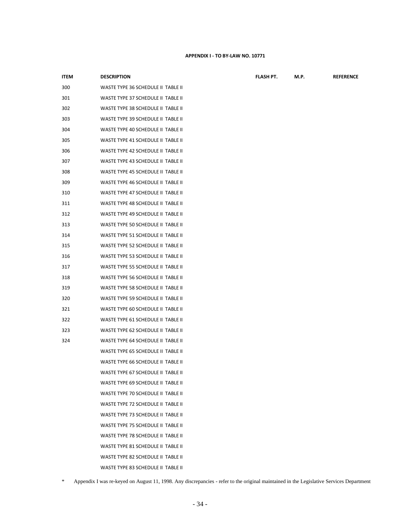| <b>ITEM</b> | <b>DESCRIPTION</b>                 | FLASH PT. | M.P. | <b>REFERENCE</b> |
|-------------|------------------------------------|-----------|------|------------------|
| 300         | WASTE TYPE 36 SCHEDULE II TABLE II |           |      |                  |
| 301         | WASTE TYPE 37 SCHEDULE II TABLE II |           |      |                  |
| 302         | WASTE TYPE 38 SCHEDULE II TABLE II |           |      |                  |
| 303         | WASTE TYPE 39 SCHEDULE II TABLE II |           |      |                  |
| 304         | WASTE TYPE 40 SCHEDULE II TABLE II |           |      |                  |
| 305         | WASTE TYPE 41 SCHEDULE II TABLE II |           |      |                  |
| 306         | WASTE TYPE 42 SCHEDULE II TABLE II |           |      |                  |
| 307         | WASTE TYPE 43 SCHEDULE II TABLE II |           |      |                  |
| 308         | WASTE TYPE 45 SCHEDULE II TABLE II |           |      |                  |
| 309         | WASTE TYPE 46 SCHEDULE II TABLE II |           |      |                  |
| 310         | WASTE TYPE 47 SCHEDULE II TABLE II |           |      |                  |
| 311         | WASTE TYPE 48 SCHEDULE II TABLE II |           |      |                  |
| 312         | WASTE TYPE 49 SCHEDULE II TABLE II |           |      |                  |
| 313         | WASTE TYPE 50 SCHEDULE II TABLE II |           |      |                  |
| 314         | WASTE TYPE 51 SCHEDULE II TABLE II |           |      |                  |
| 315         | WASTE TYPE 52 SCHEDULE II TABLE II |           |      |                  |
| 316         | WASTE TYPE 53 SCHEDULE II TABLE II |           |      |                  |
| 317         | WASTE TYPE 55 SCHEDULE II TABLE II |           |      |                  |
| 318         | WASTE TYPE 56 SCHEDULE II TABLE II |           |      |                  |
| 319         | WASTE TYPE 58 SCHEDULE II TABLE II |           |      |                  |
| 320         | WASTE TYPE 59 SCHEDULE II TABLE II |           |      |                  |
| 321         | WASTE TYPE 60 SCHEDULE II TABLE II |           |      |                  |
| 322         | WASTE TYPE 61 SCHEDULE II TABLE II |           |      |                  |
| 323         | WASTE TYPE 62 SCHEDULE II TABLE II |           |      |                  |
| 324         | WASTE TYPE 64 SCHEDULE II TABLE II |           |      |                  |
|             | WASTE TYPE 65 SCHEDULE II TABLE II |           |      |                  |
|             | WASTE TYPE 66 SCHEDULE II TABLE II |           |      |                  |
|             | WASTE TYPE 67 SCHEDULE II TABLE II |           |      |                  |
|             | WASTE TYPE 69 SCHEDULE II TABLE II |           |      |                  |
|             | WASTE TYPE 70 SCHEDULE II TABLE II |           |      |                  |
|             | WASTE TYPE 72 SCHEDULE II TABLE II |           |      |                  |
|             | WASTE TYPE 73 SCHEDULE II TABLE II |           |      |                  |
|             | WASTE TYPE 75 SCHEDULE II TABLE II |           |      |                  |
|             | WASTE TYPE 78 SCHEDULE II TABLE II |           |      |                  |
|             | WASTE TYPE 81 SCHEDULE II TABLE II |           |      |                  |
|             | WASTE TYPE 82 SCHEDULE II TABLE II |           |      |                  |
|             | WASTE TYPE 83 SCHEDULE II TABLE II |           |      |                  |